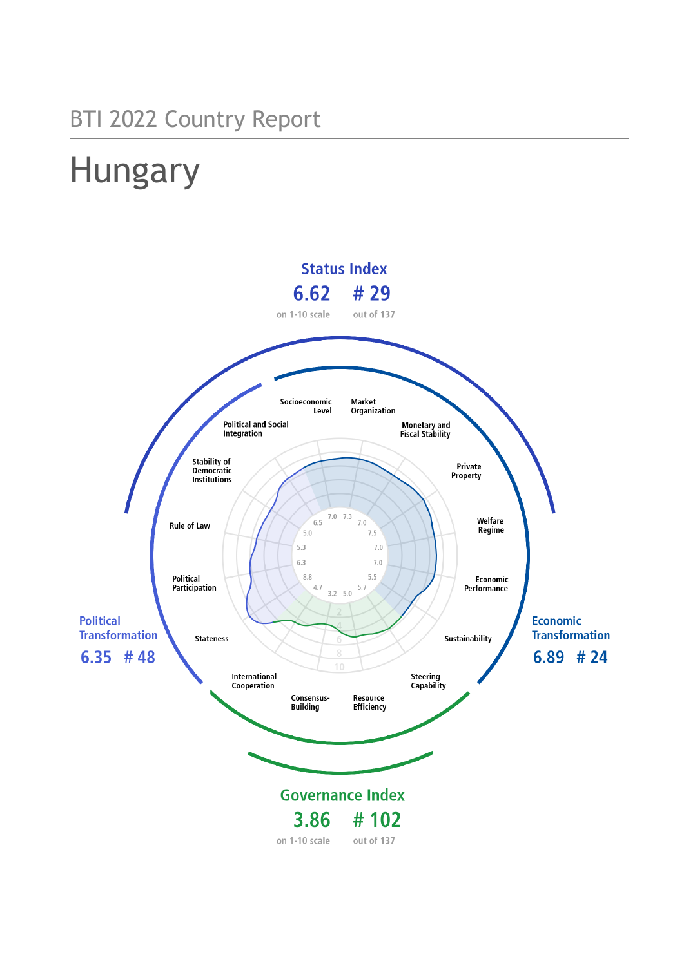# BTI 2022 Country Report

# Hungary

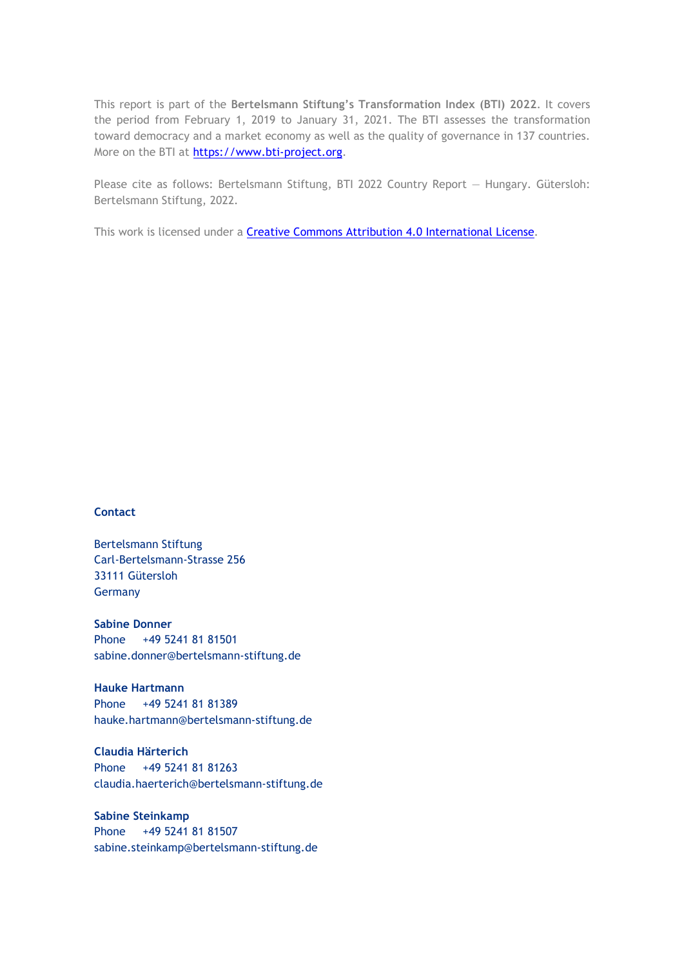This report is part of the **Bertelsmann Stiftung's Transformation Index (BTI) 2022**. It covers the period from February 1, 2019 to January 31, 2021. The BTI assesses the transformation toward democracy and a market economy as well as the quality of governance in 137 countries. More on the BTI at [https://www.bti-project.org.](https://www.bti-project.org/)

Please cite as follows: Bertelsmann Stiftung, BTI 2022 Country Report — Hungary. Gütersloh: Bertelsmann Stiftung, 2022.

This work is licensed under a **Creative Commons Attribution 4.0 International License**.

### **Contact**

Bertelsmann Stiftung Carl-Bertelsmann-Strasse 256 33111 Gütersloh Germany

**Sabine Donner** Phone +49 5241 81 81501 sabine.donner@bertelsmann-stiftung.de

**Hauke Hartmann** Phone +49 5241 81 81389 hauke.hartmann@bertelsmann-stiftung.de

**Claudia Härterich** Phone +49 5241 81 81263 claudia.haerterich@bertelsmann-stiftung.de

### **Sabine Steinkamp** Phone +49 5241 81 81507 sabine.steinkamp@bertelsmann-stiftung.de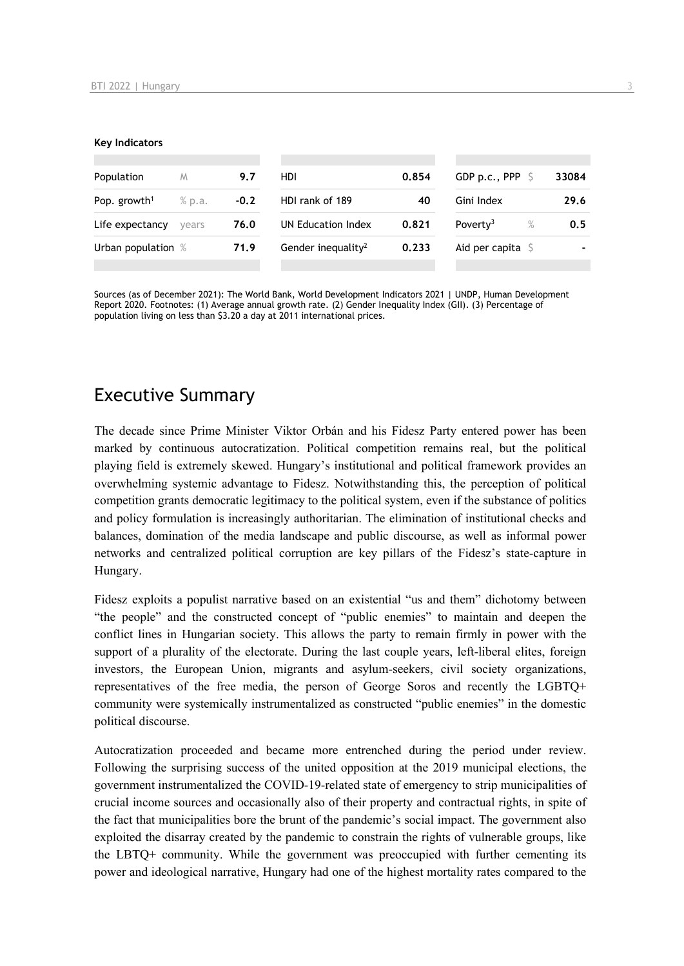#### **Key Indicators**

| Population               | M      | 9.7    | HDI                            | 0.854 | GDP p.c., PPP $\ S$          | 33084 |
|--------------------------|--------|--------|--------------------------------|-------|------------------------------|-------|
| Pop. growth <sup>1</sup> | % p.a. | $-0.2$ | HDI rank of 189                | 40    | Gini Index                   | 29.6  |
| Life expectancy          | vears  | 76.0   | UN Education Index             | 0.821 | Poverty <sup>3</sup><br>$\%$ | 0.5   |
| Urban population %       |        | 71.9   | Gender inequality <sup>2</sup> | 0.233 | Aid per capita $\sqrt{5}$    |       |
|                          |        |        |                                |       |                              |       |

Sources (as of December 2021): The World Bank, World Development Indicators 2021 | UNDP, Human Development Report 2020. Footnotes: (1) Average annual growth rate. (2) Gender Inequality Index (GII). (3) Percentage of population living on less than \$3.20 a day at 2011 international prices.

# Executive Summary

The decade since Prime Minister Viktor Orbán and his Fidesz Party entered power has been marked by continuous autocratization. Political competition remains real, but the political playing field is extremely skewed. Hungary's institutional and political framework provides an overwhelming systemic advantage to Fidesz. Notwithstanding this, the perception of political competition grants democratic legitimacy to the political system, even if the substance of politics and policy formulation is increasingly authoritarian. The elimination of institutional checks and balances, domination of the media landscape and public discourse, as well as informal power networks and centralized political corruption are key pillars of the Fidesz's state-capture in Hungary.

Fidesz exploits a populist narrative based on an existential "us and them" dichotomy between "the people" and the constructed concept of "public enemies" to maintain and deepen the conflict lines in Hungarian society. This allows the party to remain firmly in power with the support of a plurality of the electorate. During the last couple years, left-liberal elites, foreign investors, the European Union, migrants and asylum-seekers, civil society organizations, representatives of the free media, the person of George Soros and recently the LGBTQ+ community were systemically instrumentalized as constructed "public enemies" in the domestic political discourse.

Autocratization proceeded and became more entrenched during the period under review. Following the surprising success of the united opposition at the 2019 municipal elections, the government instrumentalized the COVID-19-related state of emergency to strip municipalities of crucial income sources and occasionally also of their property and contractual rights, in spite of the fact that municipalities bore the brunt of the pandemic's social impact. The government also exploited the disarray created by the pandemic to constrain the rights of vulnerable groups, like the LBTQ+ community. While the government was preoccupied with further cementing its power and ideological narrative, Hungary had one of the highest mortality rates compared to the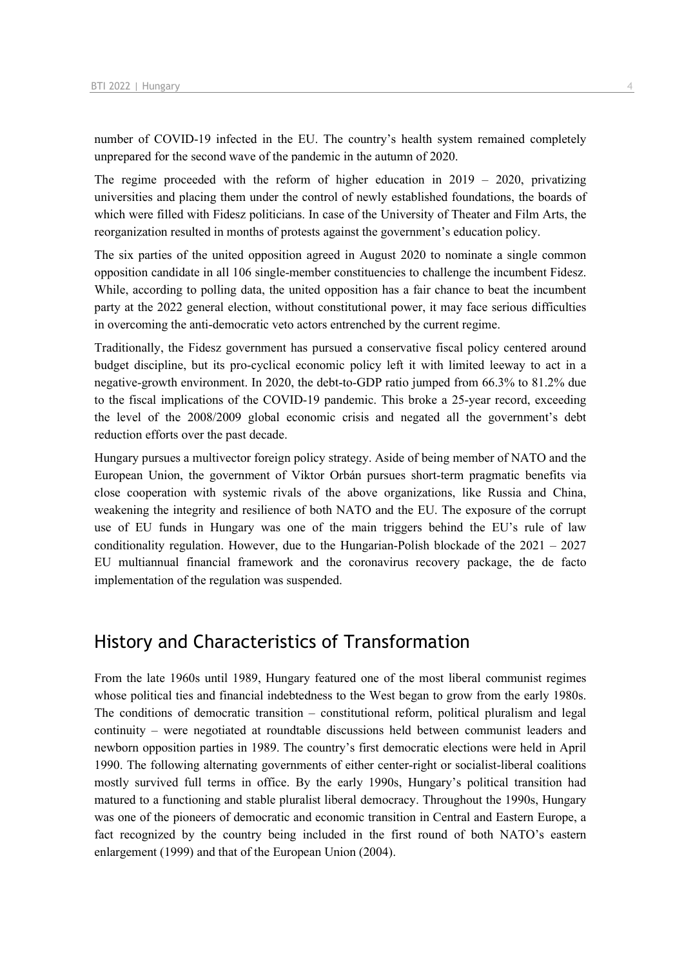number of COVID-19 infected in the EU. The country's health system remained completely unprepared for the second wave of the pandemic in the autumn of 2020.

The regime proceeded with the reform of higher education in  $2019 - 2020$ , privatizing universities and placing them under the control of newly established foundations, the boards of which were filled with Fidesz politicians. In case of the University of Theater and Film Arts, the reorganization resulted in months of protests against the government's education policy.

The six parties of the united opposition agreed in August 2020 to nominate a single common opposition candidate in all 106 single-member constituencies to challenge the incumbent Fidesz. While, according to polling data, the united opposition has a fair chance to beat the incumbent party at the 2022 general election, without constitutional power, it may face serious difficulties in overcoming the anti-democratic veto actors entrenched by the current regime.

Traditionally, the Fidesz government has pursued a conservative fiscal policy centered around budget discipline, but its pro-cyclical economic policy left it with limited leeway to act in a negative-growth environment. In 2020, the debt-to-GDP ratio jumped from 66.3% to 81.2% due to the fiscal implications of the COVID-19 pandemic. This broke a 25-year record, exceeding the level of the 2008/2009 global economic crisis and negated all the government's debt reduction efforts over the past decade.

Hungary pursues a multivector foreign policy strategy. Aside of being member of NATO and the European Union, the government of Viktor Orbán pursues short-term pragmatic benefits via close cooperation with systemic rivals of the above organizations, like Russia and China, weakening the integrity and resilience of both NATO and the EU. The exposure of the corrupt use of EU funds in Hungary was one of the main triggers behind the EU's rule of law conditionality regulation. However, due to the Hungarian-Polish blockade of the 2021 – 2027 EU multiannual financial framework and the coronavirus recovery package, the de facto implementation of the regulation was suspended.

# History and Characteristics of Transformation

From the late 1960s until 1989, Hungary featured one of the most liberal communist regimes whose political ties and financial indebtedness to the West began to grow from the early 1980s. The conditions of democratic transition – constitutional reform, political pluralism and legal continuity – were negotiated at roundtable discussions held between communist leaders and newborn opposition parties in 1989. The country's first democratic elections were held in April 1990. The following alternating governments of either center-right or socialist-liberal coalitions mostly survived full terms in office. By the early 1990s, Hungary's political transition had matured to a functioning and stable pluralist liberal democracy. Throughout the 1990s, Hungary was one of the pioneers of democratic and economic transition in Central and Eastern Europe, a fact recognized by the country being included in the first round of both NATO's eastern enlargement (1999) and that of the European Union (2004).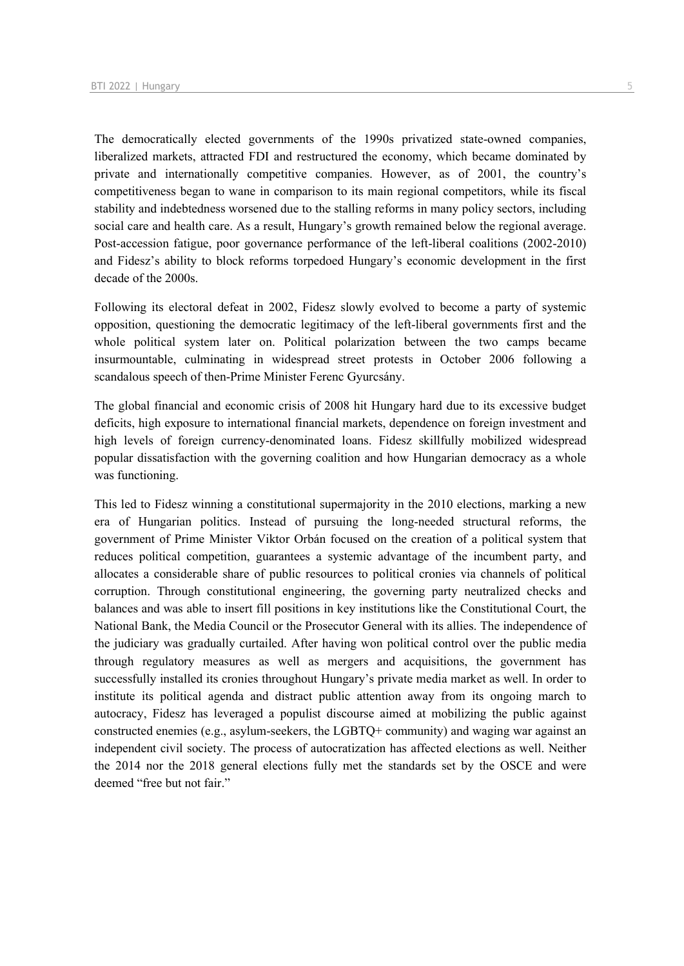The democratically elected governments of the 1990s privatized state-owned companies, liberalized markets, attracted FDI and restructured the economy, which became dominated by private and internationally competitive companies. However, as of 2001, the country's competitiveness began to wane in comparison to its main regional competitors, while its fiscal stability and indebtedness worsened due to the stalling reforms in many policy sectors, including social care and health care. As a result, Hungary's growth remained below the regional average. Post-accession fatigue, poor governance performance of the left-liberal coalitions (2002-2010) and Fidesz's ability to block reforms torpedoed Hungary's economic development in the first decade of the 2000s.

Following its electoral defeat in 2002, Fidesz slowly evolved to become a party of systemic opposition, questioning the democratic legitimacy of the left-liberal governments first and the whole political system later on. Political polarization between the two camps became insurmountable, culminating in widespread street protests in October 2006 following a scandalous speech of then-Prime Minister Ferenc Gyurcsány.

The global financial and economic crisis of 2008 hit Hungary hard due to its excessive budget deficits, high exposure to international financial markets, dependence on foreign investment and high levels of foreign currency-denominated loans. Fidesz skillfully mobilized widespread popular dissatisfaction with the governing coalition and how Hungarian democracy as a whole was functioning.

This led to Fidesz winning a constitutional supermajority in the 2010 elections, marking a new era of Hungarian politics. Instead of pursuing the long-needed structural reforms, the government of Prime Minister Viktor Orbán focused on the creation of a political system that reduces political competition, guarantees a systemic advantage of the incumbent party, and allocates a considerable share of public resources to political cronies via channels of political corruption. Through constitutional engineering, the governing party neutralized checks and balances and was able to insert fill positions in key institutions like the Constitutional Court, the National Bank, the Media Council or the Prosecutor General with its allies. The independence of the judiciary was gradually curtailed. After having won political control over the public media through regulatory measures as well as mergers and acquisitions, the government has successfully installed its cronies throughout Hungary's private media market as well. In order to institute its political agenda and distract public attention away from its ongoing march to autocracy, Fidesz has leveraged a populist discourse aimed at mobilizing the public against constructed enemies (e.g., asylum-seekers, the LGBTQ+ community) and waging war against an independent civil society. The process of autocratization has affected elections as well. Neither the 2014 nor the 2018 general elections fully met the standards set by the OSCE and were deemed "free but not fair."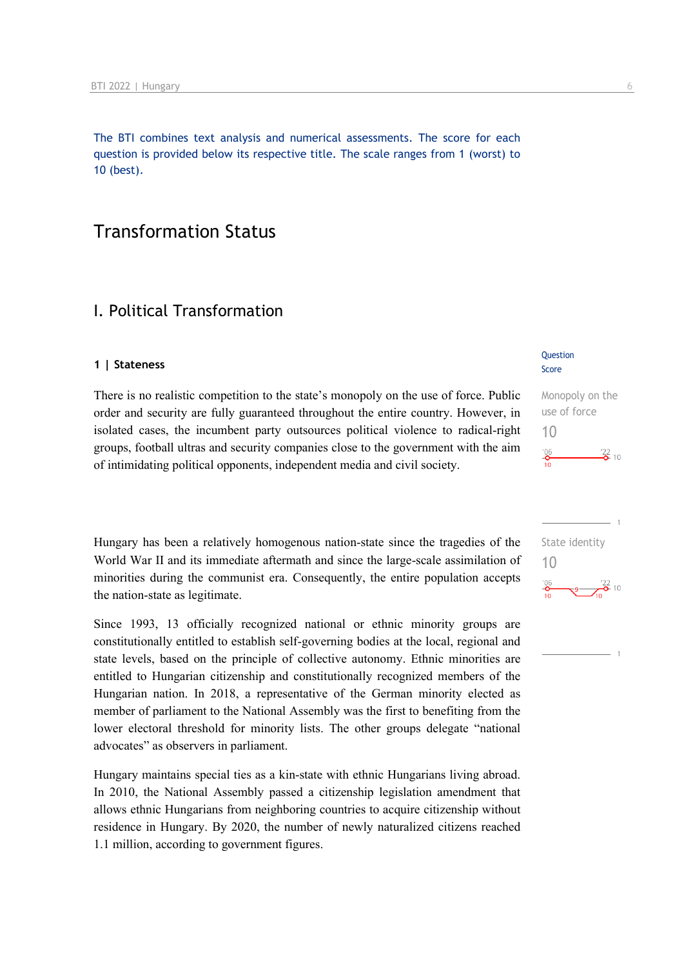The BTI combines text analysis and numerical assessments. The score for each question is provided below its respective title. The scale ranges from 1 (worst) to 10 (best).

# Transformation Status

## I. Political Transformation

### **1 | Stateness**

There is no realistic competition to the state's monopoly on the use of force. Public order and security are fully guaranteed throughout the entire country. However, in isolated cases, the incumbent party outsources political violence to radical-right groups, football ultras and security companies close to the government with the aim of intimidating political opponents, independent media and civil society.

Hungary has been a relatively homogenous nation-state since the tragedies of the World War II and its immediate aftermath and since the large-scale assimilation of minorities during the communist era. Consequently, the entire population accepts the nation-state as legitimate.

Since 1993, 13 officially recognized national or ethnic minority groups are constitutionally entitled to establish self-governing bodies at the local, regional and state levels, based on the principle of collective autonomy. Ethnic minorities are entitled to Hungarian citizenship and constitutionally recognized members of the Hungarian nation. In 2018, a representative of the German minority elected as member of parliament to the National Assembly was the first to benefiting from the lower electoral threshold for minority lists. The other groups delegate "national advocates" as observers in parliament.

Hungary maintains special ties as a kin-state with ethnic Hungarians living abroad. In 2010, the National Assembly passed a citizenship legislation amendment that allows ethnic Hungarians from neighboring countries to acquire citizenship without residence in Hungary. By 2020, the number of newly naturalized citizens reached 1.1 million, according to government figures.

### **Question** Score

Monopoly on the use of force 10  $^{206}$  $\frac{22}{2}$  10

State identity 10 $^{106}_{-0}$  $-9$   $-22$  10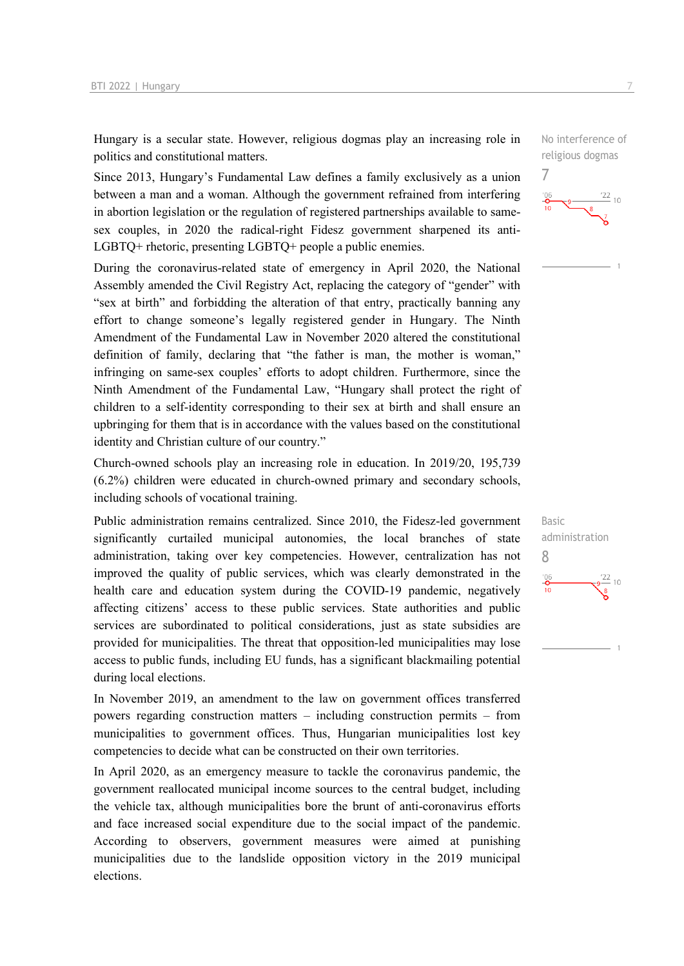Hungary is a secular state. However, religious dogmas play an increasing role in politics and constitutional matters.

Since 2013, Hungary's Fundamental Law defines a family exclusively as a union between a man and a woman. Although the government refrained from interfering in abortion legislation or the regulation of registered partnerships available to samesex couples, in 2020 the radical-right Fidesz government sharpened its anti-LGBTQ+ rhetoric, presenting LGBTQ+ people a public enemies.

During the coronavirus-related state of emergency in April 2020, the National Assembly amended the Civil Registry Act, replacing the category of "gender" with "sex at birth" and forbidding the alteration of that entry, practically banning any effort to change someone's legally registered gender in Hungary. The Ninth Amendment of the Fundamental Law in November 2020 altered the constitutional definition of family, declaring that "the father is man, the mother is woman," infringing on same-sex couples' efforts to adopt children. Furthermore, since the Ninth Amendment of the Fundamental Law, "Hungary shall protect the right of children to a self-identity corresponding to their sex at birth and shall ensure an upbringing for them that is in accordance with the values based on the constitutional identity and Christian culture of our country."

Church-owned schools play an increasing role in education. In 2019/20, 195,739 (6.2%) children were educated in church-owned primary and secondary schools, including schools of vocational training.

Public administration remains centralized. Since 2010, the Fidesz-led government significantly curtailed municipal autonomies, the local branches of state administration, taking over key competencies. However, centralization has not improved the quality of public services, which was clearly demonstrated in the health care and education system during the COVID-19 pandemic, negatively affecting citizens' access to these public services. State authorities and public services are subordinated to political considerations, just as state subsidies are provided for municipalities. The threat that opposition-led municipalities may lose access to public funds, including EU funds, has a significant blackmailing potential during local elections.

In November 2019, an amendment to the law on government offices transferred powers regarding construction matters – including construction permits – from municipalities to government offices. Thus, Hungarian municipalities lost key competencies to decide what can be constructed on their own territories.

In April 2020, as an emergency measure to tackle the coronavirus pandemic, the government reallocated municipal income sources to the central budget, including the vehicle tax, although municipalities bore the brunt of anti-coronavirus efforts and face increased social expenditure due to the social impact of the pandemic. According to observers, government measures were aimed at punishing municipalities due to the landslide opposition victory in the 2019 municipal elections.

No interference of religious dogmas



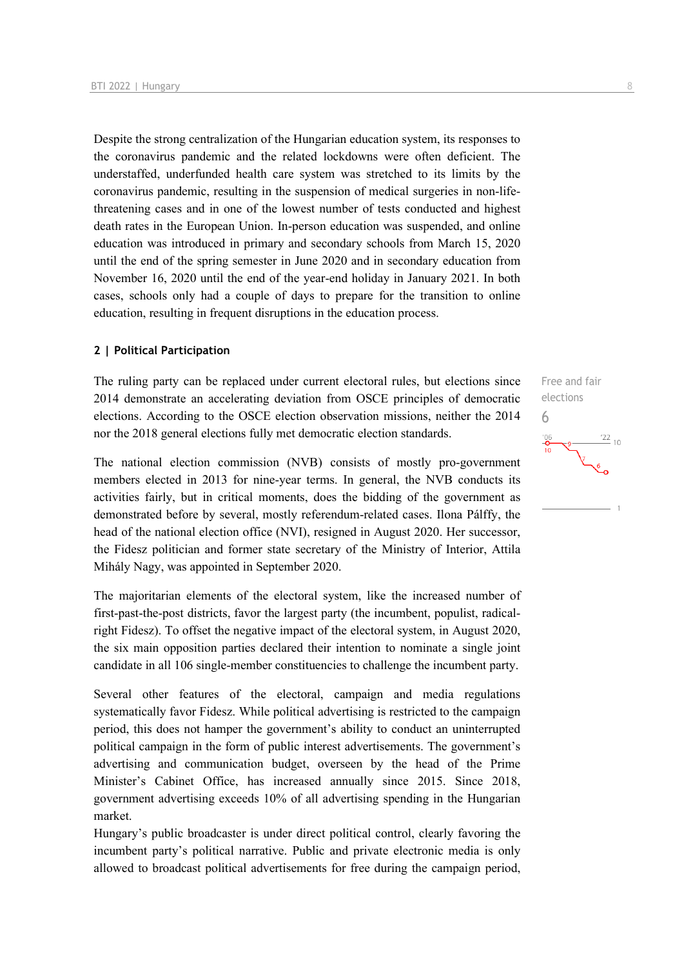Despite the strong centralization of the Hungarian education system, its responses to the coronavirus pandemic and the related lockdowns were often deficient. The understaffed, underfunded health care system was stretched to its limits by the coronavirus pandemic, resulting in the suspension of medical surgeries in non-lifethreatening cases and in one of the lowest number of tests conducted and highest death rates in the European Union. In-person education was suspended, and online education was introduced in primary and secondary schools from March 15, 2020 until the end of the spring semester in June 2020 and in secondary education from November 16, 2020 until the end of the year-end holiday in January 2021. In both cases, schools only had a couple of days to prepare for the transition to online education, resulting in frequent disruptions in the education process.

### **2 | Political Participation**

The ruling party can be replaced under current electoral rules, but elections since 2014 demonstrate an accelerating deviation from OSCE principles of democratic elections. According to the OSCE election observation missions, neither the 2014 nor the 2018 general elections fully met democratic election standards.

The national election commission (NVB) consists of mostly pro-government members elected in 2013 for nine-year terms. In general, the NVB conducts its activities fairly, but in critical moments, does the bidding of the government as demonstrated before by several, mostly referendum-related cases. Ilona Pálffy, the head of the national election office (NVI), resigned in August 2020. Her successor, the Fidesz politician and former state secretary of the Ministry of Interior, Attila Mihály Nagy, was appointed in September 2020.

The majoritarian elements of the electoral system, like the increased number of first-past-the-post districts, favor the largest party (the incumbent, populist, radicalright Fidesz). To offset the negative impact of the electoral system, in August 2020, the six main opposition parties declared their intention to nominate a single joint candidate in all 106 single-member constituencies to challenge the incumbent party.

Several other features of the electoral, campaign and media regulations systematically favor Fidesz. While political advertising is restricted to the campaign period, this does not hamper the government's ability to conduct an uninterrupted political campaign in the form of public interest advertisements. The government's advertising and communication budget, overseen by the head of the Prime Minister's Cabinet Office, has increased annually since 2015. Since 2018, government advertising exceeds 10% of all advertising spending in the Hungarian market.

Hungary's public broadcaster is under direct political control, clearly favoring the incumbent party's political narrative. Public and private electronic media is only allowed to broadcast political advertisements for free during the campaign period,

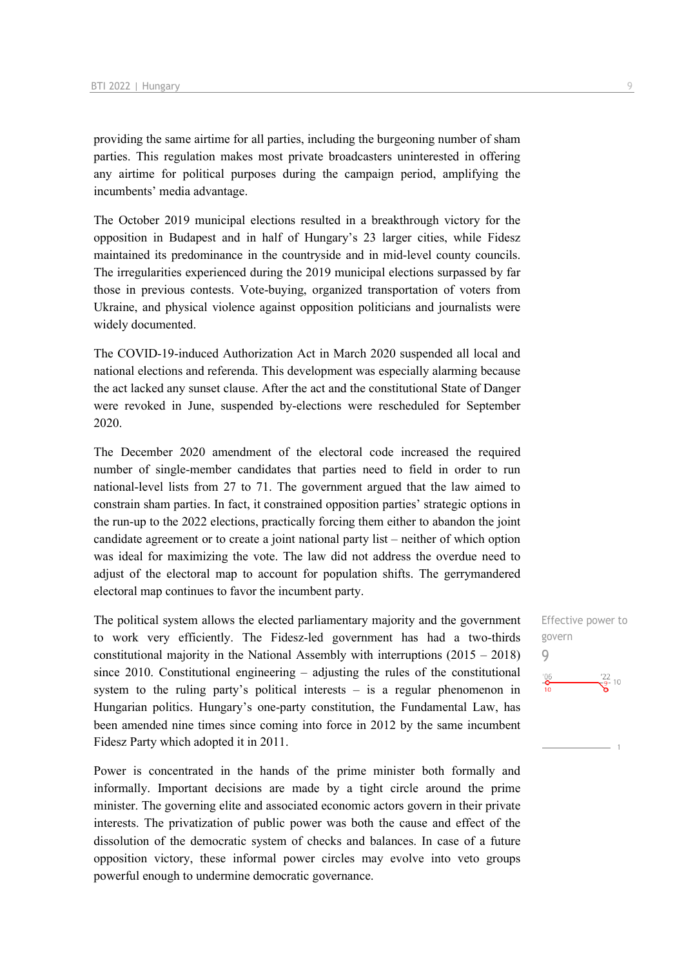providing the same airtime for all parties, including the burgeoning number of sham parties. This regulation makes most private broadcasters uninterested in offering any airtime for political purposes during the campaign period, amplifying the incumbents' media advantage.

The October 2019 municipal elections resulted in a breakthrough victory for the opposition in Budapest and in half of Hungary's 23 larger cities, while Fidesz maintained its predominance in the countryside and in mid-level county councils. The irregularities experienced during the 2019 municipal elections surpassed by far those in previous contests. Vote-buying, organized transportation of voters from Ukraine, and physical violence against opposition politicians and journalists were widely documented.

The COVID-19-induced Authorization Act in March 2020 suspended all local and national elections and referenda. This development was especially alarming because the act lacked any sunset clause. After the act and the constitutional State of Danger were revoked in June, suspended by-elections were rescheduled for September 2020.

The December 2020 amendment of the electoral code increased the required number of single-member candidates that parties need to field in order to run national-level lists from 27 to 71. The government argued that the law aimed to constrain sham parties. In fact, it constrained opposition parties' strategic options in the run-up to the 2022 elections, practically forcing them either to abandon the joint candidate agreement or to create a joint national party list – neither of which option was ideal for maximizing the vote. The law did not address the overdue need to adjust of the electoral map to account for population shifts. The gerrymandered electoral map continues to favor the incumbent party.

The political system allows the elected parliamentary majority and the government to work very efficiently. The Fidesz-led government has had a two-thirds constitutional majority in the National Assembly with interruptions  $(2015 - 2018)$ since 2010. Constitutional engineering – adjusting the rules of the constitutional system to the ruling party's political interests – is a regular phenomenon in Hungarian politics. Hungary's one-party constitution, the Fundamental Law, has been amended nine times since coming into force in 2012 by the same incumbent Fidesz Party which adopted it in 2011.

Power is concentrated in the hands of the prime minister both formally and informally. Important decisions are made by a tight circle around the prime minister. The governing elite and associated economic actors govern in their private interests. The privatization of public power was both the cause and effect of the dissolution of the democratic system of checks and balances. In case of a future opposition victory, these informal power circles may evolve into veto groups powerful enough to undermine democratic governance.

Effective power to govern 9 $\frac{106}{10}$  $\frac{22}{9}$ - 10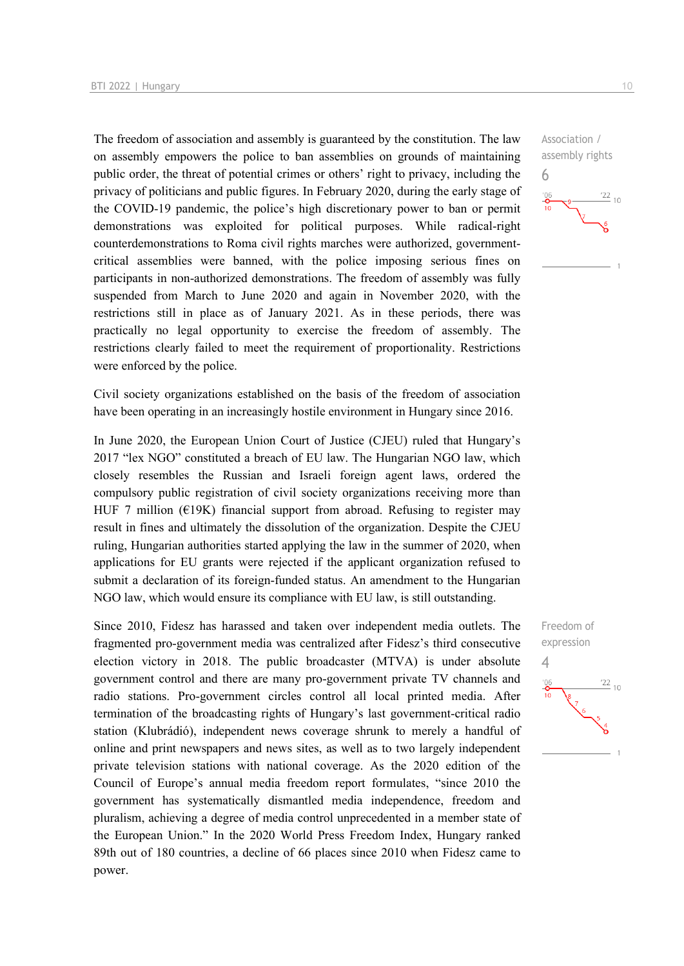The freedom of association and assembly is guaranteed by the constitution. The law on assembly empowers the police to ban assemblies on grounds of maintaining public order, the threat of potential crimes or others' right to privacy, including the privacy of politicians and public figures. In February 2020, during the early stage of the COVID-19 pandemic, the police's high discretionary power to ban or permit demonstrations was exploited for political purposes. While radical-right counterdemonstrations to Roma civil rights marches were authorized, governmentcritical assemblies were banned, with the police imposing serious fines on participants in non-authorized demonstrations. The freedom of assembly was fully suspended from March to June 2020 and again in November 2020, with the restrictions still in place as of January 2021. As in these periods, there was practically no legal opportunity to exercise the freedom of assembly. The restrictions clearly failed to meet the requirement of proportionality. Restrictions were enforced by the police.

Civil society organizations established on the basis of the freedom of association have been operating in an increasingly hostile environment in Hungary since 2016.

In June 2020, the European Union Court of Justice (CJEU) ruled that Hungary's 2017 "lex NGO" constituted a breach of EU law. The Hungarian NGO law, which closely resembles the Russian and Israeli foreign agent laws, ordered the compulsory public registration of civil society organizations receiving more than HUF 7 million ( $E19K$ ) financial support from abroad. Refusing to register may result in fines and ultimately the dissolution of the organization. Despite the CJEU ruling, Hungarian authorities started applying the law in the summer of 2020, when applications for EU grants were rejected if the applicant organization refused to submit a declaration of its foreign-funded status. An amendment to the Hungarian NGO law, which would ensure its compliance with EU law, is still outstanding.

Since 2010, Fidesz has harassed and taken over independent media outlets. The fragmented pro-government media was centralized after Fidesz's third consecutive election victory in 2018. The public broadcaster (MTVA) is under absolute government control and there are many pro-government private TV channels and radio stations. Pro-government circles control all local printed media. After termination of the broadcasting rights of Hungary's last government-critical radio station (Klubrádió), independent news coverage shrunk to merely a handful of online and print newspapers and news sites, as well as to two largely independent private television stations with national coverage. As the 2020 edition of the Council of Europe's annual media freedom report formulates, "since 2010 the government has systematically dismantled media independence, freedom and pluralism, achieving a degree of media control unprecedented in a member state of the European Union." In the 2020 World Press Freedom Index, Hungary ranked 89th out of 180 countries, a decline of 66 places since 2010 when Fidesz came to power.



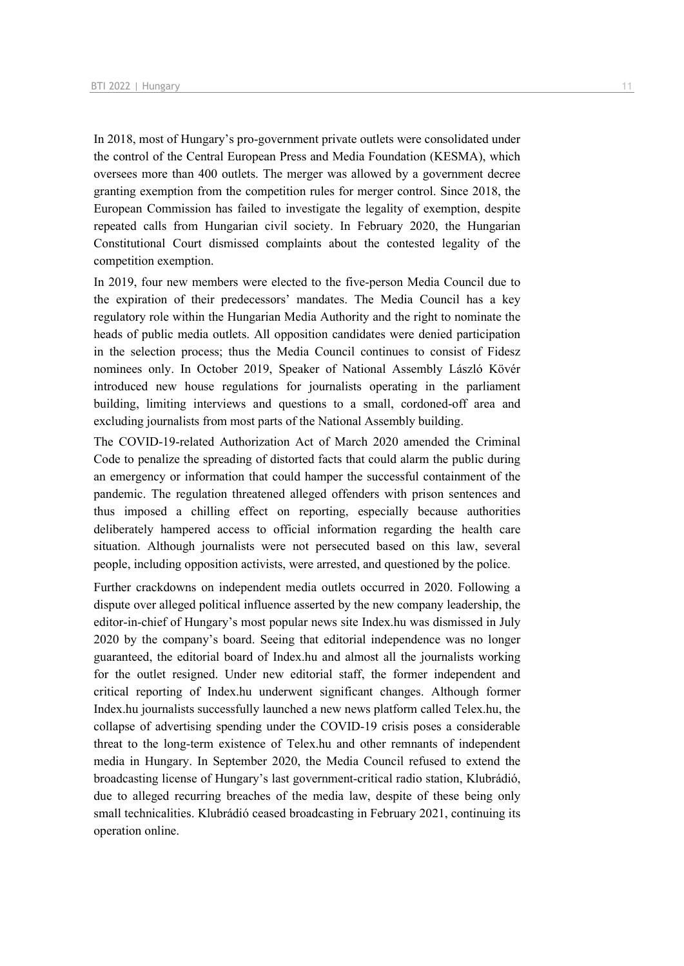In 2018, most of Hungary's pro-government private outlets were consolidated under the control of the Central European Press and Media Foundation (KESMA), which oversees more than 400 outlets. The merger was allowed by a government decree granting exemption from the competition rules for merger control. Since 2018, the European Commission has failed to investigate the legality of exemption, despite repeated calls from Hungarian civil society. In February 2020, the Hungarian Constitutional Court dismissed complaints about the contested legality of the competition exemption.

In 2019, four new members were elected to the five-person Media Council due to the expiration of their predecessors' mandates. The Media Council has a key regulatory role within the Hungarian Media Authority and the right to nominate the heads of public media outlets. All opposition candidates were denied participation in the selection process; thus the Media Council continues to consist of Fidesz nominees only. In October 2019, Speaker of National Assembly László Kövér introduced new house regulations for journalists operating in the parliament building, limiting interviews and questions to a small, cordoned-off area and excluding journalists from most parts of the National Assembly building.

The COVID-19-related Authorization Act of March 2020 amended the Criminal Code to penalize the spreading of distorted facts that could alarm the public during an emergency or information that could hamper the successful containment of the pandemic. The regulation threatened alleged offenders with prison sentences and thus imposed a chilling effect on reporting, especially because authorities deliberately hampered access to official information regarding the health care situation. Although journalists were not persecuted based on this law, several people, including opposition activists, were arrested, and questioned by the police.

Further crackdowns on independent media outlets occurred in 2020. Following a dispute over alleged political influence asserted by the new company leadership, the editor-in-chief of Hungary's most popular news site Index.hu was dismissed in July 2020 by the company's board. Seeing that editorial independence was no longer guaranteed, the editorial board of Index.hu and almost all the journalists working for the outlet resigned. Under new editorial staff, the former independent and critical reporting of Index.hu underwent significant changes. Although former Index.hu journalists successfully launched a new news platform called Telex.hu, the collapse of advertising spending under the COVID-19 crisis poses a considerable threat to the long-term existence of Telex.hu and other remnants of independent media in Hungary. In September 2020, the Media Council refused to extend the broadcasting license of Hungary's last government-critical radio station, Klubrádió, due to alleged recurring breaches of the media law, despite of these being only small technicalities. Klubrádió ceased broadcasting in February 2021, continuing its operation online.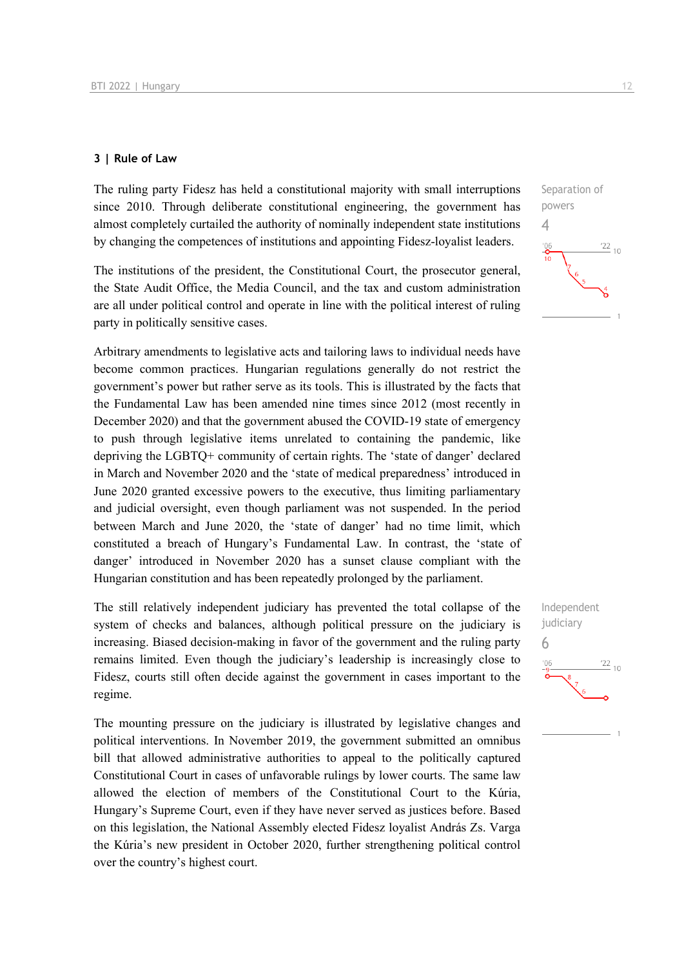### **3 | Rule of Law**

The ruling party Fidesz has held a constitutional majority with small interruptions since 2010. Through deliberate constitutional engineering, the government has almost completely curtailed the authority of nominally independent state institutions by changing the competences of institutions and appointing Fidesz-loyalist leaders.

The institutions of the president, the Constitutional Court, the prosecutor general, the State Audit Office, the Media Council, and the tax and custom administration are all under political control and operate in line with the political interest of ruling party in politically sensitive cases.

Arbitrary amendments to legislative acts and tailoring laws to individual needs have become common practices. Hungarian regulations generally do not restrict the government's power but rather serve as its tools. This is illustrated by the facts that the Fundamental Law has been amended nine times since 2012 (most recently in December 2020) and that the government abused the COVID-19 state of emergency to push through legislative items unrelated to containing the pandemic, like depriving the LGBTQ+ community of certain rights. The 'state of danger' declared in March and November 2020 and the 'state of medical preparedness' introduced in June 2020 granted excessive powers to the executive, thus limiting parliamentary and judicial oversight, even though parliament was not suspended. In the period between March and June 2020, the 'state of danger' had no time limit, which constituted a breach of Hungary's Fundamental Law. In contrast, the 'state of danger' introduced in November 2020 has a sunset clause compliant with the Hungarian constitution and has been repeatedly prolonged by the parliament.

The still relatively independent judiciary has prevented the total collapse of the system of checks and balances, although political pressure on the judiciary is increasing. Biased decision-making in favor of the government and the ruling party remains limited. Even though the judiciary's leadership is increasingly close to Fidesz, courts still often decide against the government in cases important to the regime.

The mounting pressure on the judiciary is illustrated by legislative changes and political interventions. In November 2019, the government submitted an omnibus bill that allowed administrative authorities to appeal to the politically captured Constitutional Court in cases of unfavorable rulings by lower courts. The same law allowed the election of members of the Constitutional Court to the Kúria, Hungary's Supreme Court, even if they have never served as justices before. Based on this legislation, the National Assembly elected Fidesz loyalist András Zs. Varga the Kúria's new president in October 2020, further strengthening political control over the country's highest court.



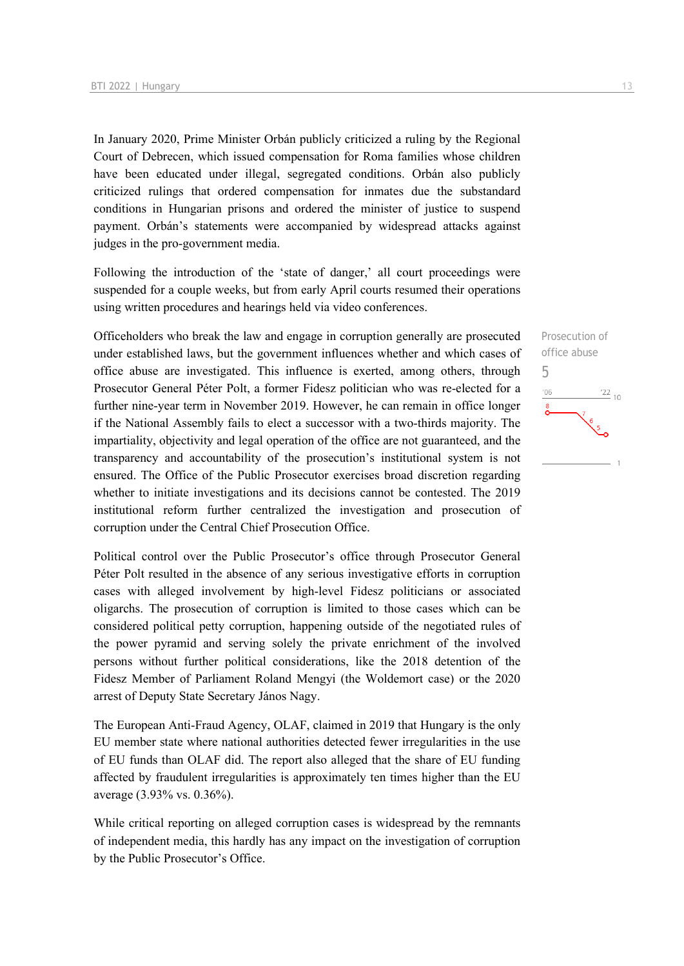In January 2020, Prime Minister Orbán publicly criticized a ruling by the Regional Court of Debrecen, which issued compensation for Roma families whose children have been educated under illegal, segregated conditions. Orbán also publicly criticized rulings that ordered compensation for inmates due the substandard conditions in Hungarian prisons and ordered the minister of justice to suspend payment. Orbán's statements were accompanied by widespread attacks against judges in the pro-government media.

Following the introduction of the 'state of danger,' all court proceedings were suspended for a couple weeks, but from early April courts resumed their operations using written procedures and hearings held via video conferences.

Officeholders who break the law and engage in corruption generally are prosecuted under established laws, but the government influences whether and which cases of office abuse are investigated. This influence is exerted, among others, through Prosecutor General Péter Polt, a former Fidesz politician who was re-elected for a further nine-year term in November 2019. However, he can remain in office longer if the National Assembly fails to elect a successor with a two-thirds majority. The impartiality, objectivity and legal operation of the office are not guaranteed, and the transparency and accountability of the prosecution's institutional system is not ensured. The Office of the Public Prosecutor exercises broad discretion regarding whether to initiate investigations and its decisions cannot be contested. The 2019 institutional reform further centralized the investigation and prosecution of corruption under the Central Chief Prosecution Office.

Political control over the Public Prosecutor's office through Prosecutor General Péter Polt resulted in the absence of any serious investigative efforts in corruption cases with alleged involvement by high-level Fidesz politicians or associated oligarchs. The prosecution of corruption is limited to those cases which can be considered political petty corruption, happening outside of the negotiated rules of the power pyramid and serving solely the private enrichment of the involved persons without further political considerations, like the 2018 detention of the Fidesz Member of Parliament Roland Mengyi (the Woldemort case) or the 2020 arrest of Deputy State Secretary János Nagy.

The European Anti-Fraud Agency, OLAF, claimed in 2019 that Hungary is the only EU member state where national authorities detected fewer irregularities in the use of EU funds than OLAF did. The report also alleged that the share of EU funding affected by fraudulent irregularities is approximately ten times higher than the EU average (3.93% vs. 0.36%).

While critical reporting on alleged corruption cases is widespread by the remnants of independent media, this hardly has any impact on the investigation of corruption by the Public Prosecutor's Office.

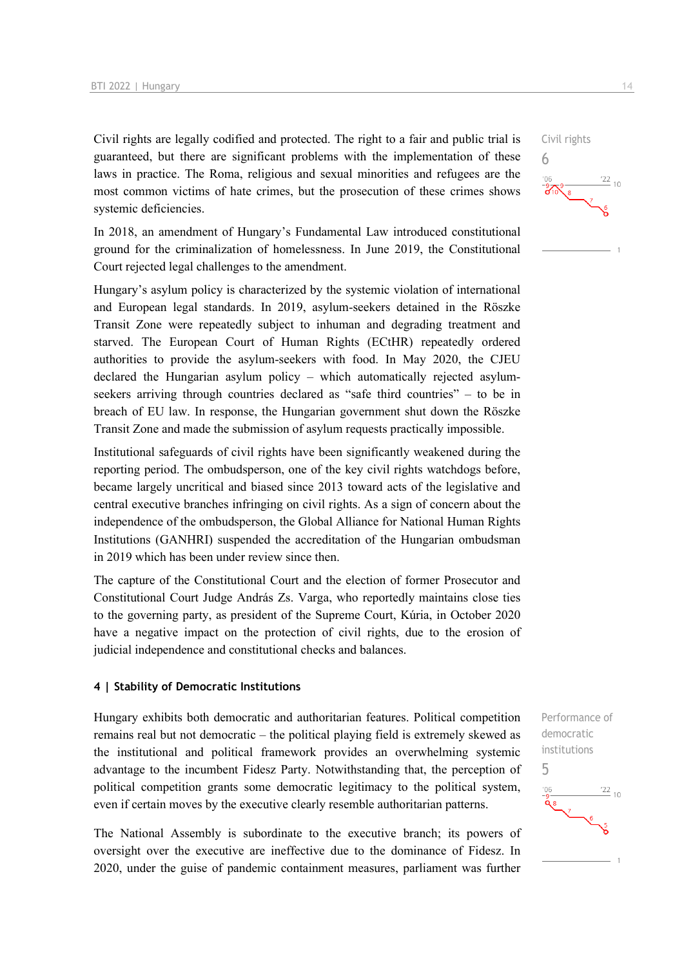Civil rights are legally codified and protected. The right to a fair and public trial is guaranteed, but there are significant problems with the implementation of these laws in practice. The Roma, religious and sexual minorities and refugees are the most common victims of hate crimes, but the prosecution of these crimes shows systemic deficiencies.

In 2018, an amendment of Hungary's Fundamental Law introduced constitutional ground for the criminalization of homelessness. In June 2019, the Constitutional Court rejected legal challenges to the amendment.

Hungary's asylum policy is characterized by the systemic violation of international and European legal standards. In 2019, asylum-seekers detained in the Röszke Transit Zone were repeatedly subject to inhuman and degrading treatment and starved. The European Court of Human Rights (ECtHR) repeatedly ordered authorities to provide the asylum-seekers with food. In May 2020, the CJEU declared the Hungarian asylum policy – which automatically rejected asylumseekers arriving through countries declared as "safe third countries" – to be in breach of EU law. In response, the Hungarian government shut down the Röszke Transit Zone and made the submission of asylum requests practically impossible.

Institutional safeguards of civil rights have been significantly weakened during the reporting period. The ombudsperson, one of the key civil rights watchdogs before, became largely uncritical and biased since 2013 toward acts of the legislative and central executive branches infringing on civil rights. As a sign of concern about the independence of the ombudsperson, the Global Alliance for National Human Rights Institutions (GANHRI) suspended the accreditation of the Hungarian ombudsman in 2019 which has been under review since then.

The capture of the Constitutional Court and the election of former Prosecutor and Constitutional Court Judge András Zs. Varga, who reportedly maintains close ties to the governing party, as president of the Supreme Court, Kúria, in October 2020 have a negative impact on the protection of civil rights, due to the erosion of judicial independence and constitutional checks and balances.

### **4 | Stability of Democratic Institutions**

Hungary exhibits both democratic and authoritarian features. Political competition remains real but not democratic – the political playing field is extremely skewed as the institutional and political framework provides an overwhelming systemic advantage to the incumbent Fidesz Party. Notwithstanding that, the perception of political competition grants some democratic legitimacy to the political system, even if certain moves by the executive clearly resemble authoritarian patterns.

The National Assembly is subordinate to the executive branch; its powers of oversight over the executive are ineffective due to the dominance of Fidesz. In 2020, under the guise of pandemic containment measures, parliament was further

Performance of democratic institutions 5 $\frac{22}{10}$ 

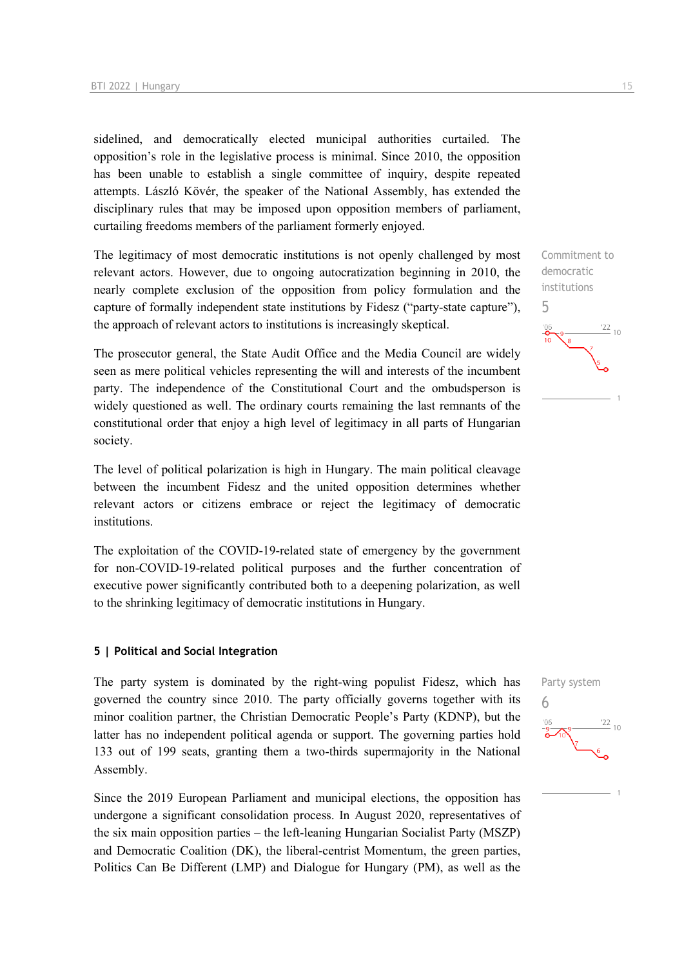sidelined, and democratically elected municipal authorities curtailed. The opposition's role in the legislative process is minimal. Since 2010, the opposition has been unable to establish a single committee of inquiry, despite repeated attempts. László Kövér, the speaker of the National Assembly, has extended the disciplinary rules that may be imposed upon opposition members of parliament, curtailing freedoms members of the parliament formerly enjoyed.

The legitimacy of most democratic institutions is not openly challenged by most relevant actors. However, due to ongoing autocratization beginning in 2010, the nearly complete exclusion of the opposition from policy formulation and the capture of formally independent state institutions by Fidesz ("party-state capture"), the approach of relevant actors to institutions is increasingly skeptical.

The prosecutor general, the State Audit Office and the Media Council are widely seen as mere political vehicles representing the will and interests of the incumbent party. The independence of the Constitutional Court and the ombudsperson is widely questioned as well. The ordinary courts remaining the last remnants of the constitutional order that enjoy a high level of legitimacy in all parts of Hungarian society.

The level of political polarization is high in Hungary. The main political cleavage between the incumbent Fidesz and the united opposition determines whether relevant actors or citizens embrace or reject the legitimacy of democratic institutions.

The exploitation of the COVID-19-related state of emergency by the government for non-COVID-19-related political purposes and the further concentration of executive power significantly contributed both to a deepening polarization, as well to the shrinking legitimacy of democratic institutions in Hungary.

### **5 | Political and Social Integration**

The party system is dominated by the right-wing populist Fidesz, which has governed the country since 2010. The party officially governs together with its minor coalition partner, the Christian Democratic People's Party (KDNP), but the latter has no independent political agenda or support. The governing parties hold 133 out of 199 seats, granting them a two-thirds supermajority in the National Assembly.

Since the 2019 European Parliament and municipal elections, the opposition has undergone a significant consolidation process. In August 2020, representatives of the six main opposition parties – the left-leaning Hungarian Socialist Party (MSZP) and Democratic Coalition (DK), the liberal-centrist Momentum, the green parties, Politics Can Be Different (LMP) and Dialogue for Hungary (PM), as well as the



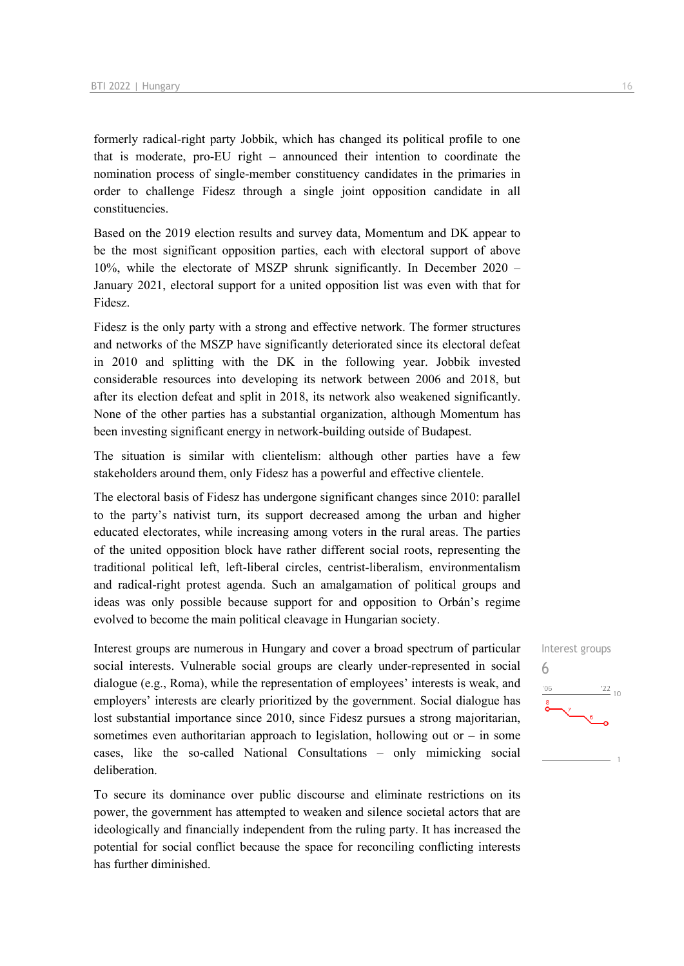formerly radical-right party Jobbik, which has changed its political profile to one that is moderate, pro-EU right – announced their intention to coordinate the nomination process of single-member constituency candidates in the primaries in order to challenge Fidesz through a single joint opposition candidate in all constituencies.

Based on the 2019 election results and survey data, Momentum and DK appear to be the most significant opposition parties, each with electoral support of above 10%, while the electorate of MSZP shrunk significantly. In December 2020 – January 2021, electoral support for a united opposition list was even with that for Fidesz.

Fidesz is the only party with a strong and effective network. The former structures and networks of the MSZP have significantly deteriorated since its electoral defeat in 2010 and splitting with the DK in the following year. Jobbik invested considerable resources into developing its network between 2006 and 2018, but after its election defeat and split in 2018, its network also weakened significantly. None of the other parties has a substantial organization, although Momentum has been investing significant energy in network-building outside of Budapest.

The situation is similar with clientelism: although other parties have a few stakeholders around them, only Fidesz has a powerful and effective clientele.

The electoral basis of Fidesz has undergone significant changes since 2010: parallel to the party's nativist turn, its support decreased among the urban and higher educated electorates, while increasing among voters in the rural areas. The parties of the united opposition block have rather different social roots, representing the traditional political left, left-liberal circles, centrist-liberalism, environmentalism and radical-right protest agenda. Such an amalgamation of political groups and ideas was only possible because support for and opposition to Orbán's regime evolved to become the main political cleavage in Hungarian society.

Interest groups are numerous in Hungary and cover a broad spectrum of particular social interests. Vulnerable social groups are clearly under-represented in social dialogue (e.g., Roma), while the representation of employees' interests is weak, and employers' interests are clearly prioritized by the government. Social dialogue has lost substantial importance since 2010, since Fidesz pursues a strong majoritarian, sometimes even authoritarian approach to legislation, hollowing out or  $-$  in some cases, like the so-called National Consultations – only mimicking social deliberation.

To secure its dominance over public discourse and eliminate restrictions on its power, the government has attempted to weaken and silence societal actors that are ideologically and financially independent from the ruling party. It has increased the potential for social conflict because the space for reconciling conflicting interests has further diminished.

# Interest groups 6 $\frac{22}{10}$  $^{\prime}06$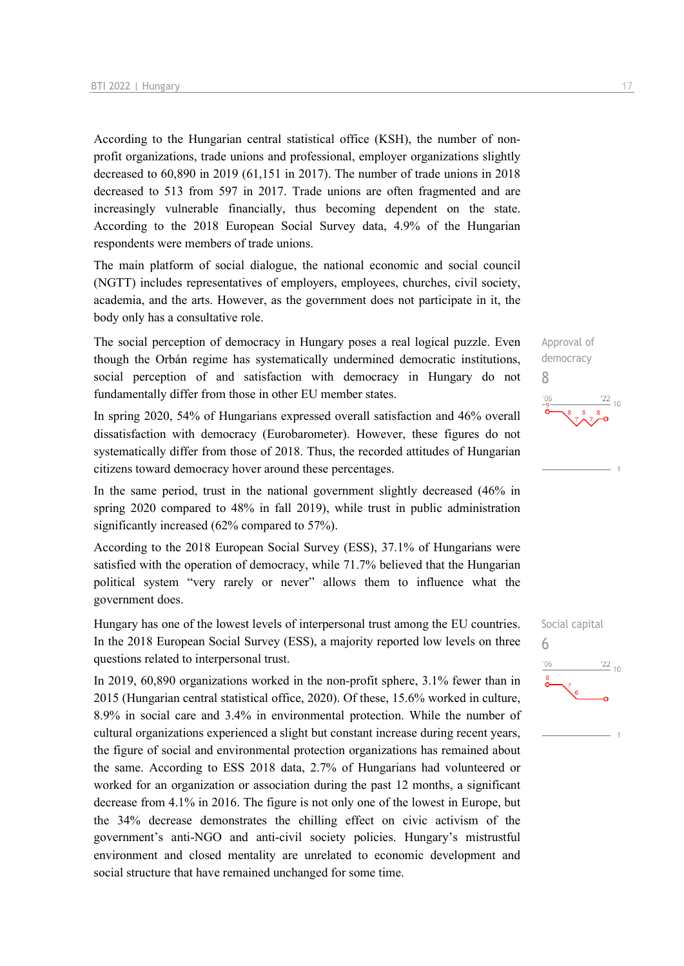According to the Hungarian central statistical office (KSH), the number of nonprofit organizations, trade unions and professional, employer organizations slightly decreased to 60,890 in 2019 (61,151 in 2017). The number of trade unions in 2018 decreased to 513 from 597 in 2017. Trade unions are often fragmented and are increasingly vulnerable financially, thus becoming dependent on the state. According to the 2018 European Social Survey data, 4.9% of the Hungarian respondents were members of trade unions.

The main platform of social dialogue, the national economic and social council (NGTT) includes representatives of employers, employees, churches, civil society, academia, and the arts. However, as the government does not participate in it, the body only has a consultative role.

The social perception of democracy in Hungary poses a real logical puzzle. Even though the Orbán regime has systematically undermined democratic institutions, social perception of and satisfaction with democracy in Hungary do not fundamentally differ from those in other EU member states.

In spring 2020, 54% of Hungarians expressed overall satisfaction and 46% overall dissatisfaction with democracy (Eurobarometer). However, these figures do not systematically differ from those of 2018. Thus, the recorded attitudes of Hungarian citizens toward democracy hover around these percentages.

In the same period, trust in the national government slightly decreased (46% in spring 2020 compared to 48% in fall 2019), while trust in public administration significantly increased (62% compared to 57%).

According to the 2018 European Social Survey (ESS), 37.1% of Hungarians were satisfied with the operation of democracy, while 71.7% believed that the Hungarian political system "very rarely or never" allows them to influence what the government does.

Hungary has one of the lowest levels of interpersonal trust among the EU countries. In the 2018 European Social Survey (ESS), a majority reported low levels on three questions related to interpersonal trust.

In 2019, 60,890 organizations worked in the non-profit sphere, 3.1% fewer than in 2015 (Hungarian central statistical office, 2020). Of these, 15.6% worked in culture, 8.9% in social care and 3.4% in environmental protection. While the number of cultural organizations experienced a slight but constant increase during recent years, the figure of social and environmental protection organizations has remained about the same. According to ESS 2018 data, 2.7% of Hungarians had volunteered or worked for an organization or association during the past 12 months, a significant decrease from 4.1% in 2016. The figure is not only one of the lowest in Europe, but the 34% decrease demonstrates the chilling effect on civic activism of the government's anti-NGO and anti-civil society policies. Hungary's mistrustful environment and closed mentality are unrelated to economic development and social structure that have remained unchanged for some time.

Approval of democracy 8  $\frac{22}{10}$ 

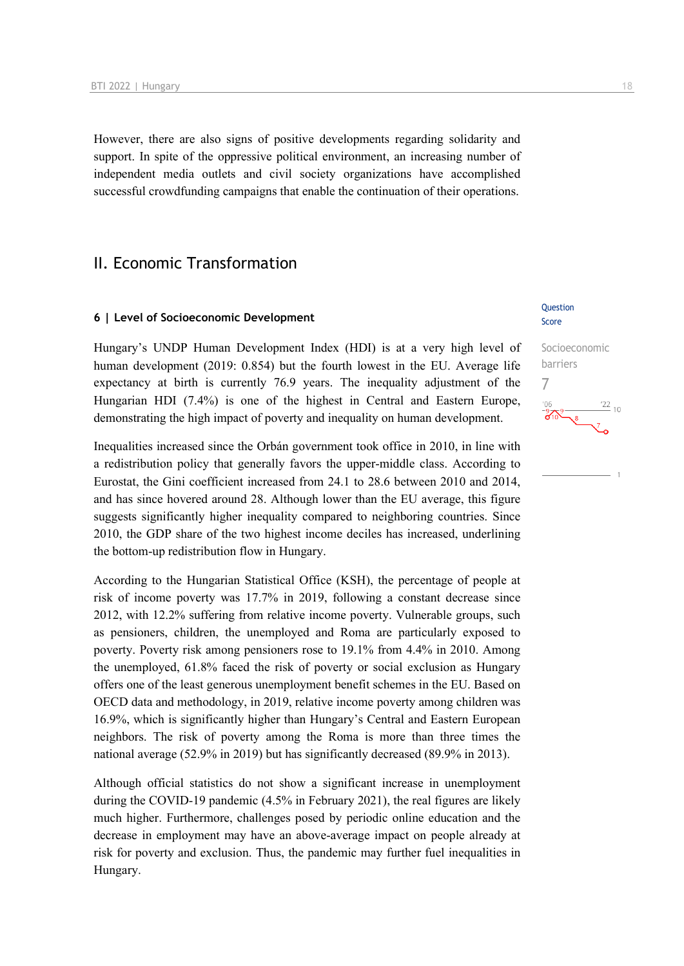However, there are also signs of positive developments regarding solidarity and support. In spite of the oppressive political environment, an increasing number of independent media outlets and civil society organizations have accomplished successful crowdfunding campaigns that enable the continuation of their operations.

## II. Economic Transformation

### **6 | Level of Socioeconomic Development**

Hungary's UNDP Human Development Index (HDI) is at a very high level of human development (2019: 0.854) but the fourth lowest in the EU. Average life expectancy at birth is currently 76.9 years. The inequality adjustment of the Hungarian HDI (7.4%) is one of the highest in Central and Eastern Europe, demonstrating the high impact of poverty and inequality on human development.

Inequalities increased since the Orbán government took office in 2010, in line with a redistribution policy that generally favors the upper-middle class. According to Eurostat, the Gini coefficient increased from 24.1 to 28.6 between 2010 and 2014, and has since hovered around 28. Although lower than the EU average, this figure suggests significantly higher inequality compared to neighboring countries. Since 2010, the GDP share of the two highest income deciles has increased, underlining the bottom-up redistribution flow in Hungary.

According to the Hungarian Statistical Office (KSH), the percentage of people at risk of income poverty was 17.7% in 2019, following a constant decrease since 2012, with 12.2% suffering from relative income poverty. Vulnerable groups, such as pensioners, children, the unemployed and Roma are particularly exposed to poverty. Poverty risk among pensioners rose to 19.1% from 4.4% in 2010. Among the unemployed, 61.8% faced the risk of poverty or social exclusion as Hungary offers one of the least generous unemployment benefit schemes in the EU. Based on OECD data and methodology, in 2019, relative income poverty among children was 16.9%, which is significantly higher than Hungary's Central and Eastern European neighbors. The risk of poverty among the Roma is more than three times the national average (52.9% in 2019) but has significantly decreased (89.9% in 2013).

Although official statistics do not show a significant increase in unemployment during the COVID-19 pandemic (4.5% in February 2021), the real figures are likely much higher. Furthermore, challenges posed by periodic online education and the decrease in employment may have an above-average impact on people already at risk for poverty and exclusion. Thus, the pandemic may further fuel inequalities in Hungary.

### **Ouestion** Score

# Socioeconomic barriers 7 $\frac{22}{10}$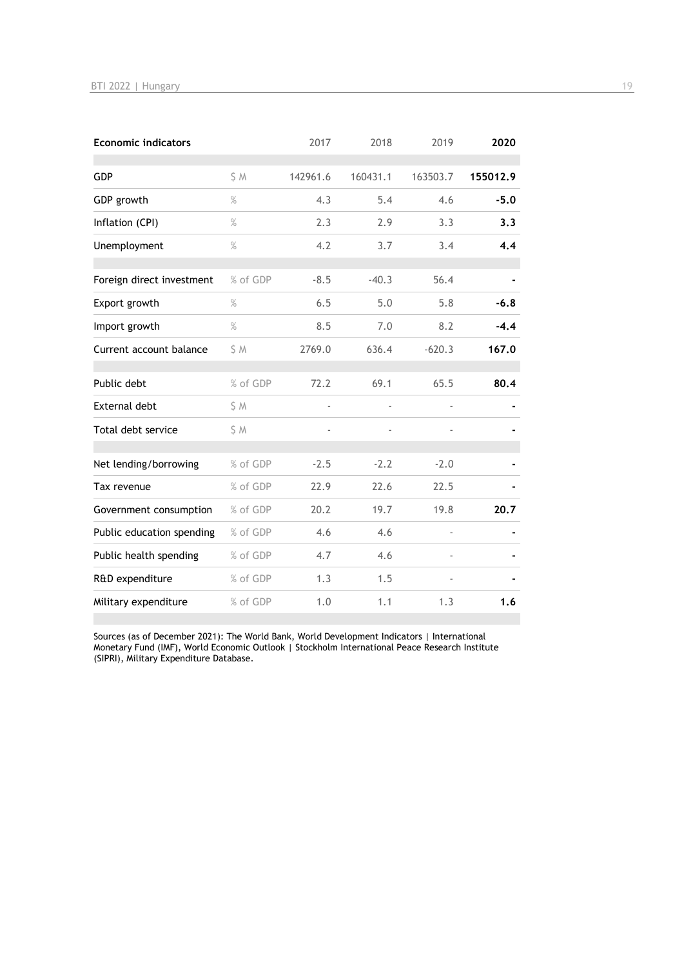| <b>Economic indicators</b> |          | 2017                     | 2018     | 2019                     | 2020     |
|----------------------------|----------|--------------------------|----------|--------------------------|----------|
| GDP                        | S M      | 142961.6                 | 160431.1 | 163503.7                 | 155012.9 |
| GDP growth                 | $\%$     | 4.3                      | 5.4      | 4.6                      | $-5.0$   |
| Inflation (CPI)            | $\%$     | 2.3                      | 2.9      | 3.3                      | 3.3      |
| Unemployment               | $\%$     | 4.2                      | 3.7      | 3.4                      | 4.4      |
| Foreign direct investment  | % of GDP | $-8.5$                   | $-40.3$  | 56.4                     |          |
| Export growth              | $\%$     | 6.5                      | 5.0      | 5.8                      | $-6.8$   |
| Import growth              | $\%$     | 8.5                      | 7.0      | 8.2                      | $-4.4$   |
| Current account balance    | \$ M     | 2769.0                   | 636.4    | $-620.3$                 | 167.0    |
| Public debt                | % of GDP | 72.2                     | 69.1     | 65.5                     | 80.4     |
| <b>External debt</b>       | \$ M     | $\overline{\phantom{a}}$ |          | $\overline{\phantom{a}}$ |          |
| Total debt service         | S M      |                          |          |                          |          |
| Net lending/borrowing      | % of GDP | $-2.5$                   | $-2.2$   | $-2.0$                   |          |
| Tax revenue                | % of GDP | 22.9                     | 22.6     | 22.5                     |          |
| Government consumption     | % of GDP | 20.2                     | 19.7     | 19.8                     | 20.7     |
| Public education spending  | % of GDP | 4.6                      | 4.6      | ä,                       |          |
| Public health spending     | % of GDP | 4.7                      | 4.6      |                          |          |
| R&D expenditure            | % of GDP | 1.3                      | 1.5      |                          |          |
| Military expenditure       | % of GDP | 1.0                      | 1.1      | 1.3                      | 1.6      |

Sources (as of December 2021): The World Bank, World Development Indicators | International Monetary Fund (IMF), World Economic Outlook | Stockholm International Peace Research Institute (SIPRI), Military Expenditure Database.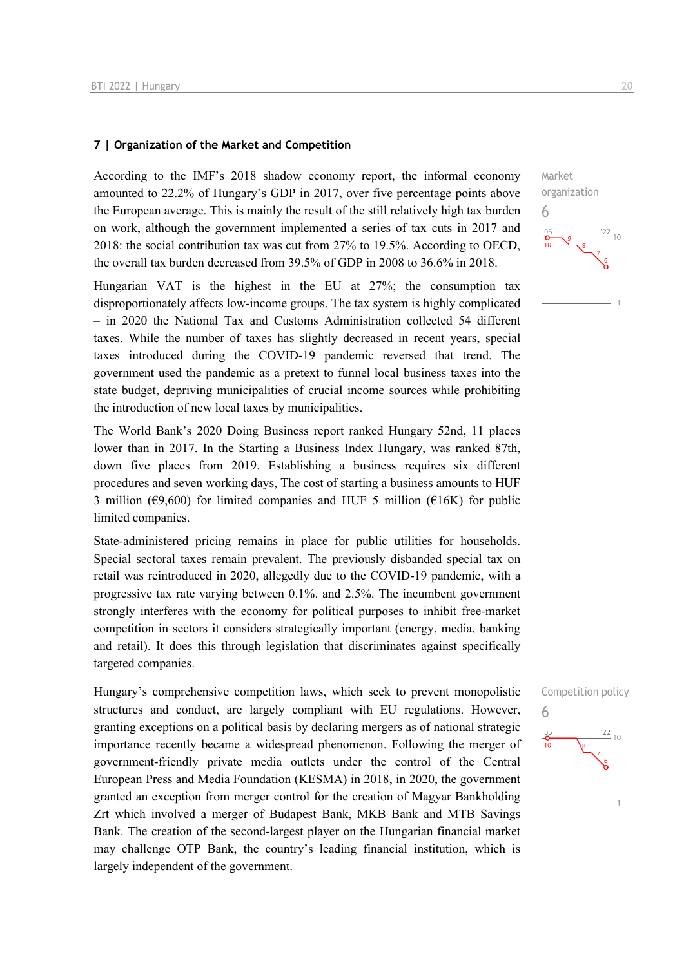### **7 | Organization of the Market and Competition**

According to the IMF's 2018 shadow economy report, the informal economy amounted to 22.2% of Hungary's GDP in 2017, over five percentage points above the European average. This is mainly the result of the still relatively high tax burden on work, although the government implemented a series of tax cuts in 2017 and 2018: the social contribution tax was cut from 27% to 19.5%. According to OECD, the overall tax burden decreased from 39.5% of GDP in 2008 to 36.6% in 2018.

Hungarian VAT is the highest in the EU at 27%; the consumption tax disproportionately affects low-income groups. The tax system is highly complicated – in 2020 the National Tax and Customs Administration collected 54 different taxes. While the number of taxes has slightly decreased in recent years, special taxes introduced during the COVID-19 pandemic reversed that trend. The government used the pandemic as a pretext to funnel local business taxes into the state budget, depriving municipalities of crucial income sources while prohibiting the introduction of new local taxes by municipalities.

The World Bank's 2020 Doing Business report ranked Hungary 52nd, 11 places lower than in 2017. In the Starting a Business Index Hungary, was ranked 87th, down five places from 2019. Establishing a business requires six different procedures and seven working days, The cost of starting a business amounts to HUF 3 million ( $\epsilon$ 9,600) for limited companies and HUF 5 million ( $\epsilon$ 16K) for public limited companies.

State-administered pricing remains in place for public utilities for households. Special sectoral taxes remain prevalent. The previously disbanded special tax on retail was reintroduced in 2020, allegedly due to the COVID-19 pandemic, with a progressive tax rate varying between 0.1%. and 2.5%. The incumbent government strongly interferes with the economy for political purposes to inhibit free-market competition in sectors it considers strategically important (energy, media, banking and retail). It does this through legislation that discriminates against specifically targeted companies.

Hungary's comprehensive competition laws, which seek to prevent monopolistic structures and conduct, are largely compliant with EU regulations. However, granting exceptions on a political basis by declaring mergers as of national strategic importance recently became a widespread phenomenon. Following the merger of government-friendly private media outlets under the control of the Central European Press and Media Foundation (KESMA) in 2018, in 2020, the government granted an exception from merger control for the creation of Magyar Bankholding Zrt which involved a merger of Budapest Bank, MKB Bank and MTB Savings Bank. The creation of the second-largest player on the Hungarian financial market may challenge OTP Bank, the country's leading financial institution, which is largely independent of the government.



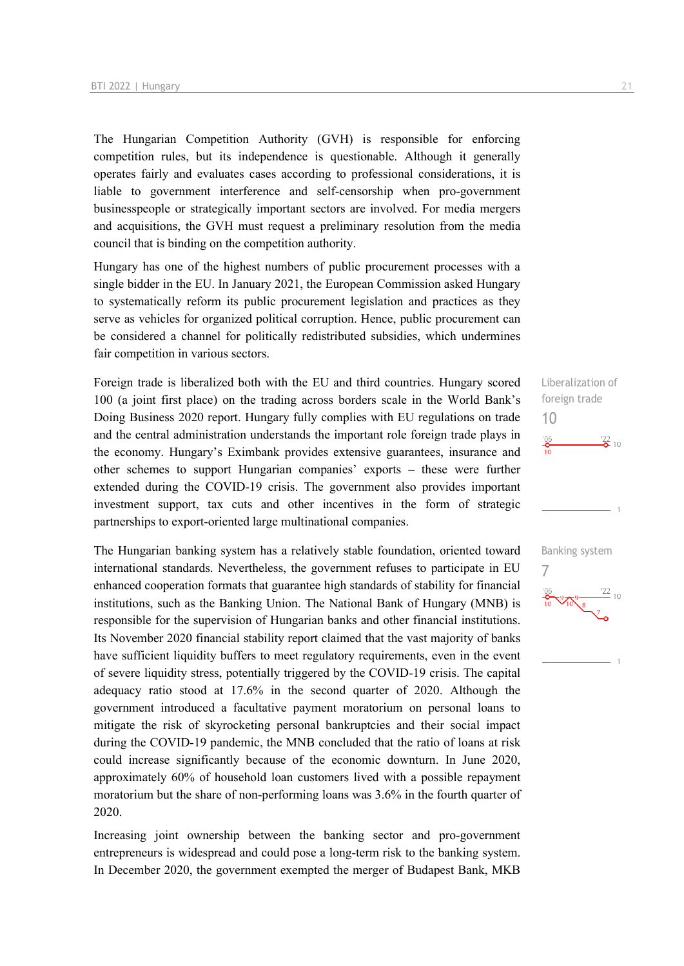The Hungarian Competition Authority (GVH) is responsible for enforcing competition rules, but its independence is questionable. Although it generally operates fairly and evaluates cases according to professional considerations, it is liable to government interference and self-censorship when pro-government businesspeople or strategically important sectors are involved. For media mergers and acquisitions, the GVH must request a preliminary resolution from the media council that is binding on the competition authority.

Hungary has one of the highest numbers of public procurement processes with a single bidder in the EU. In January 2021, the European Commission asked Hungary to systematically reform its public procurement legislation and practices as they serve as vehicles for organized political corruption. Hence, public procurement can be considered a channel for politically redistributed subsidies, which undermines fair competition in various sectors.

Foreign trade is liberalized both with the EU and third countries. Hungary scored 100 (a joint first place) on the trading across borders scale in the World Bank's Doing Business 2020 report. Hungary fully complies with EU regulations on trade and the central administration understands the important role foreign trade plays in the economy. Hungary's Eximbank provides extensive guarantees, insurance and other schemes to support Hungarian companies' exports – these were further extended during the COVID-19 crisis. The government also provides important investment support, tax cuts and other incentives in the form of strategic partnerships to export-oriented large multinational companies.

The Hungarian banking system has a relatively stable foundation, oriented toward international standards. Nevertheless, the government refuses to participate in EU enhanced cooperation formats that guarantee high standards of stability for financial institutions, such as the Banking Union. The National Bank of Hungary (MNB) is responsible for the supervision of Hungarian banks and other financial institutions. Its November 2020 financial stability report claimed that the vast majority of banks have sufficient liquidity buffers to meet regulatory requirements, even in the event of severe liquidity stress, potentially triggered by the COVID-19 crisis. The capital adequacy ratio stood at 17.6% in the second quarter of 2020. Although the government introduced a facultative payment moratorium on personal loans to mitigate the risk of skyrocketing personal bankruptcies and their social impact during the COVID-19 pandemic, the MNB concluded that the ratio of loans at risk could increase significantly because of the economic downturn. In June 2020, approximately 60% of household loan customers lived with a possible repayment moratorium but the share of non-performing loans was 3.6% in the fourth quarter of 2020.

Increasing joint ownership between the banking sector and pro-government entrepreneurs is widespread and could pose a long-term risk to the banking system. In December 2020, the government exempted the merger of Budapest Bank, MKB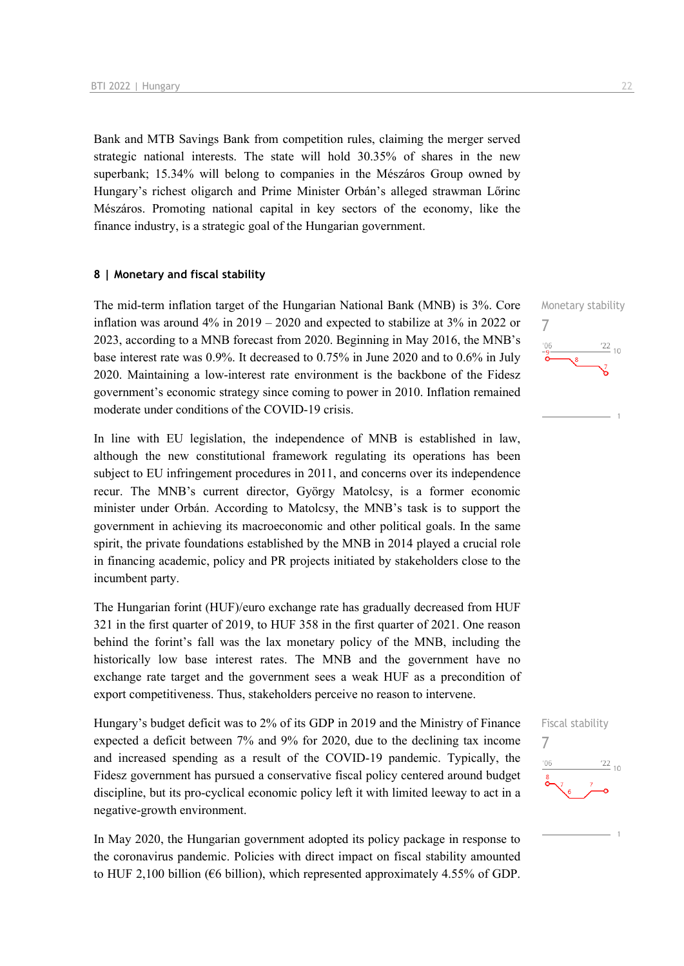Bank and MTB Savings Bank from competition rules, claiming the merger served strategic national interests. The state will hold 30.35% of shares in the new superbank; 15.34% will belong to companies in the Mészáros Group owned by Hungary's richest oligarch and Prime Minister Orbán's alleged strawman Lőrinc Mészáros. Promoting national capital in key sectors of the economy, like the finance industry, is a strategic goal of the Hungarian government.

### **8 | Monetary and fiscal stability**

The mid-term inflation target of the Hungarian National Bank (MNB) is 3%. Core inflation was around  $4\%$  in  $2019 - 2020$  and expected to stabilize at  $3\%$  in 2022 or 2023, according to a MNB forecast from 2020. Beginning in May 2016, the MNB's base interest rate was 0.9%. It decreased to 0.75% in June 2020 and to 0.6% in July 2020. Maintaining a low-interest rate environment is the backbone of the Fidesz government's economic strategy since coming to power in 2010. Inflation remained moderate under conditions of the COVID-19 crisis.

In line with EU legislation, the independence of MNB is established in law, although the new constitutional framework regulating its operations has been subject to EU infringement procedures in 2011, and concerns over its independence recur. The MNB's current director, György Matolcsy, is a former economic minister under Orbán. According to Matolcsy, the MNB's task is to support the government in achieving its macroeconomic and other political goals. In the same spirit, the private foundations established by the MNB in 2014 played a crucial role in financing academic, policy and PR projects initiated by stakeholders close to the incumbent party.

The Hungarian forint (HUF)/euro exchange rate has gradually decreased from HUF 321 in the first quarter of 2019, to HUF 358 in the first quarter of 2021. One reason behind the forint's fall was the lax monetary policy of the MNB, including the historically low base interest rates. The MNB and the government have no exchange rate target and the government sees a weak HUF as a precondition of export competitiveness. Thus, stakeholders perceive no reason to intervene.

Hungary's budget deficit was to 2% of its GDP in 2019 and the Ministry of Finance expected a deficit between 7% and 9% for 2020, due to the declining tax income and increased spending as a result of the COVID-19 pandemic. Typically, the Fidesz government has pursued a conservative fiscal policy centered around budget discipline, but its pro-cyclical economic policy left it with limited leeway to act in a negative-growth environment.

In May 2020, the Hungarian government adopted its policy package in response to the coronavirus pandemic. Policies with direct impact on fiscal stability amounted to HUF 2,100 billion (€6 billion), which represented approximately 4.55% of GDP.



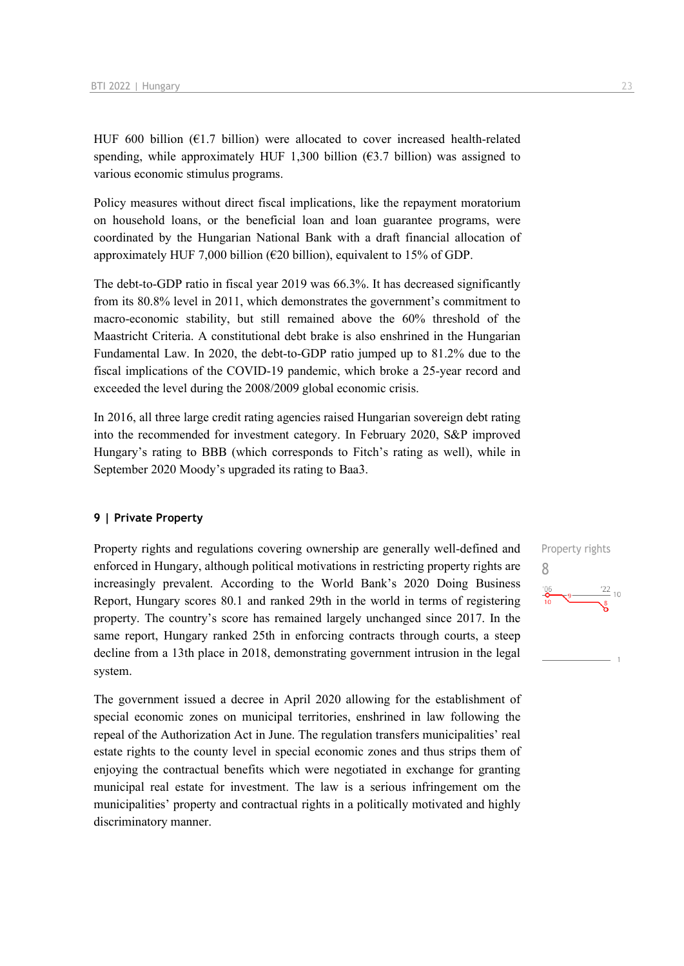HUF 600 billion ( $E1.7$  billion) were allocated to cover increased health-related spending, while approximately HUF 1,300 billion ( $63.7$  billion) was assigned to various economic stimulus programs.

Policy measures without direct fiscal implications, like the repayment moratorium on household loans, or the beneficial loan and loan guarantee programs, were coordinated by the Hungarian National Bank with a draft financial allocation of approximately HUF 7,000 billion ( $\epsilon$ 20 billion), equivalent to 15% of GDP.

The debt-to-GDP ratio in fiscal year 2019 was 66.3%. It has decreased significantly from its 80.8% level in 2011, which demonstrates the government's commitment to macro-economic stability, but still remained above the 60% threshold of the Maastricht Criteria. A constitutional debt brake is also enshrined in the Hungarian Fundamental Law. In 2020, the debt-to-GDP ratio jumped up to 81.2% due to the fiscal implications of the COVID-19 pandemic, which broke a 25-year record and exceeded the level during the 2008/2009 global economic crisis.

In 2016, all three large credit rating agencies raised Hungarian sovereign debt rating into the recommended for investment category. In February 2020, S&P improved Hungary's rating to BBB (which corresponds to Fitch's rating as well), while in September 2020 Moody's upgraded its rating to Baa3.

### **9 | Private Property**

Property rights and regulations covering ownership are generally well-defined and enforced in Hungary, although political motivations in restricting property rights are increasingly prevalent. According to the World Bank's 2020 Doing Business Report, Hungary scores 80.1 and ranked 29th in the world in terms of registering property. The country's score has remained largely unchanged since 2017. In the same report, Hungary ranked 25th in enforcing contracts through courts, a steep decline from a 13th place in 2018, demonstrating government intrusion in the legal system.

The government issued a decree in April 2020 allowing for the establishment of special economic zones on municipal territories, enshrined in law following the repeal of the Authorization Act in June. The regulation transfers municipalities' real estate rights to the county level in special economic zones and thus strips them of enjoying the contractual benefits which were negotiated in exchange for granting municipal real estate for investment. The law is a serious infringement om the municipalities' property and contractual rights in a politically motivated and highly discriminatory manner.

Property rights 8 $\frac{22}{10}$  10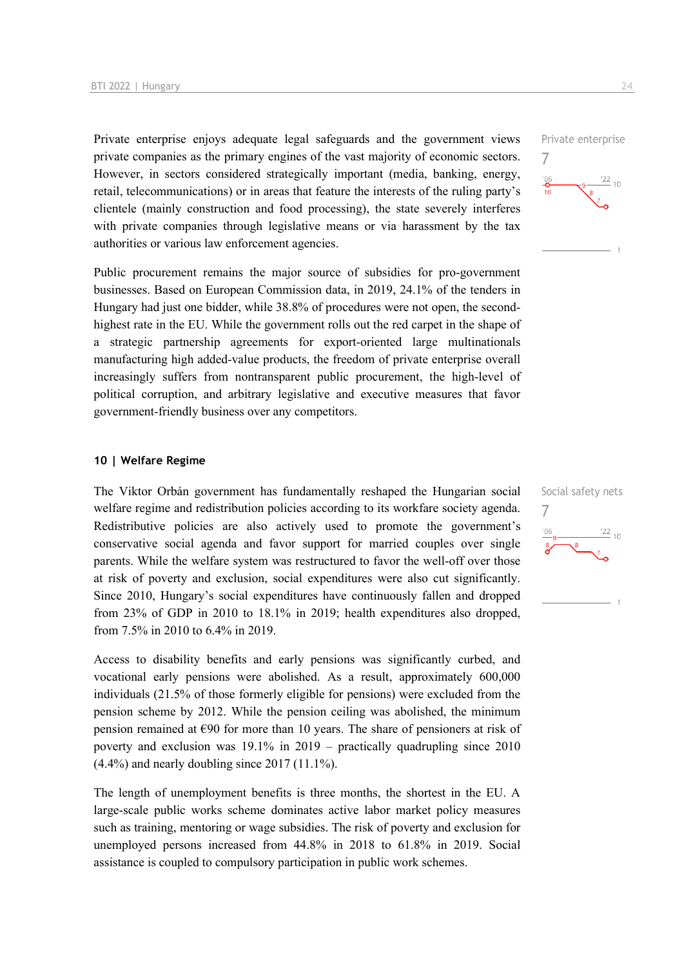Private enterprise enjoys adequate legal safeguards and the government views private companies as the primary engines of the vast majority of economic sectors. However, in sectors considered strategically important (media, banking, energy, retail, telecommunications) or in areas that feature the interests of the ruling party's clientele (mainly construction and food processing), the state severely interferes with private companies through legislative means or via harassment by the tax authorities or various law enforcement agencies.

Public procurement remains the major source of subsidies for pro-government businesses. Based on European Commission data, in 2019, 24.1% of the tenders in Hungary had just one bidder, while 38.8% of procedures were not open, the secondhighest rate in the EU. While the government rolls out the red carpet in the shape of a strategic partnership agreements for export-oriented large multinationals manufacturing high added-value products, the freedom of private enterprise overall increasingly suffers from nontransparent public procurement, the high-level of political corruption, and arbitrary legislative and executive measures that favor government-friendly business over any competitors.

### **10 | Welfare Regime**

The Viktor Orbán government has fundamentally reshaped the Hungarian social welfare regime and redistribution policies according to its workfare society agenda. Redistributive policies are also actively used to promote the government's conservative social agenda and favor support for married couples over single parents. While the welfare system was restructured to favor the well-off over those at risk of poverty and exclusion, social expenditures were also cut significantly. Since 2010, Hungary's social expenditures have continuously fallen and dropped from 23% of GDP in 2010 to 18.1% in 2019; health expenditures also dropped, from 7.5% in 2010 to 6.4% in 2019.

Access to disability benefits and early pensions was significantly curbed, and vocational early pensions were abolished. As a result, approximately 600,000 individuals (21.5% of those formerly eligible for pensions) were excluded from the pension scheme by 2012. While the pension ceiling was abolished, the minimum pension remained at  $\epsilon$ 90 for more than 10 years. The share of pensioners at risk of poverty and exclusion was 19.1% in 2019 – practically quadrupling since 2010 (4.4%) and nearly doubling since 2017 (11.1%).

The length of unemployment benefits is three months, the shortest in the EU. A large-scale public works scheme dominates active labor market policy measures such as training, mentoring or wage subsidies. The risk of poverty and exclusion for unemployed persons increased from 44.8% in 2018 to 61.8% in 2019. Social assistance is coupled to compulsory participation in public work schemes.



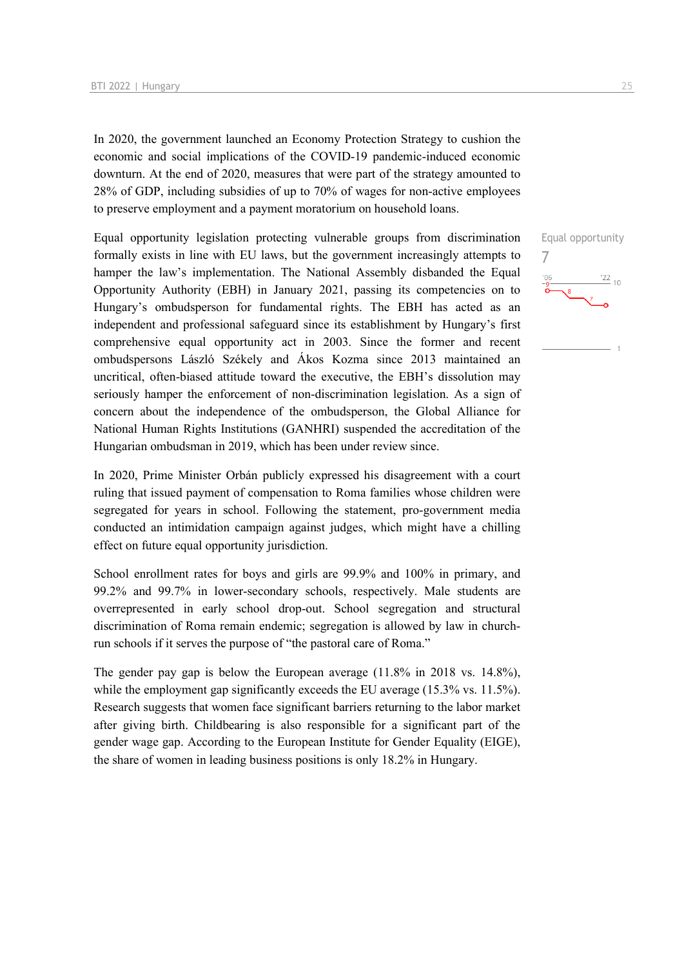In 2020, the government launched an Economy Protection Strategy to cushion the economic and social implications of the COVID-19 pandemic-induced economic downturn. At the end of 2020, measures that were part of the strategy amounted to 28% of GDP, including subsidies of up to 70% of wages for non-active employees to preserve employment and a payment moratorium on household loans.

Equal opportunity legislation protecting vulnerable groups from discrimination formally exists in line with EU laws, but the government increasingly attempts to hamper the law's implementation. The National Assembly disbanded the Equal Opportunity Authority (EBH) in January 2021, passing its competencies on to Hungary's ombudsperson for fundamental rights. The EBH has acted as an independent and professional safeguard since its establishment by Hungary's first comprehensive equal opportunity act in 2003. Since the former and recent ombudspersons László Székely and Ákos Kozma since 2013 maintained an uncritical, often-biased attitude toward the executive, the EBH's dissolution may seriously hamper the enforcement of non-discrimination legislation. As a sign of concern about the independence of the ombudsperson, the Global Alliance for National Human Rights Institutions (GANHRI) suspended the accreditation of the Hungarian ombudsman in 2019, which has been under review since.

In 2020, Prime Minister Orbán publicly expressed his disagreement with a court ruling that issued payment of compensation to Roma families whose children were segregated for years in school. Following the statement, pro-government media conducted an intimidation campaign against judges, which might have a chilling effect on future equal opportunity jurisdiction.

School enrollment rates for boys and girls are 99.9% and 100% in primary, and 99.2% and 99.7% in lower-secondary schools, respectively. Male students are overrepresented in early school drop-out. School segregation and structural discrimination of Roma remain endemic; segregation is allowed by law in churchrun schools if it serves the purpose of "the pastoral care of Roma."

The gender pay gap is below the European average (11.8% in 2018 vs. 14.8%), while the employment gap significantly exceeds the EU average (15.3% vs. 11.5%). Research suggests that women face significant barriers returning to the labor market after giving birth. Childbearing is also responsible for a significant part of the gender wage gap. According to the European Institute for Gender Equality (EIGE), the share of women in leading business positions is only 18.2% in Hungary.

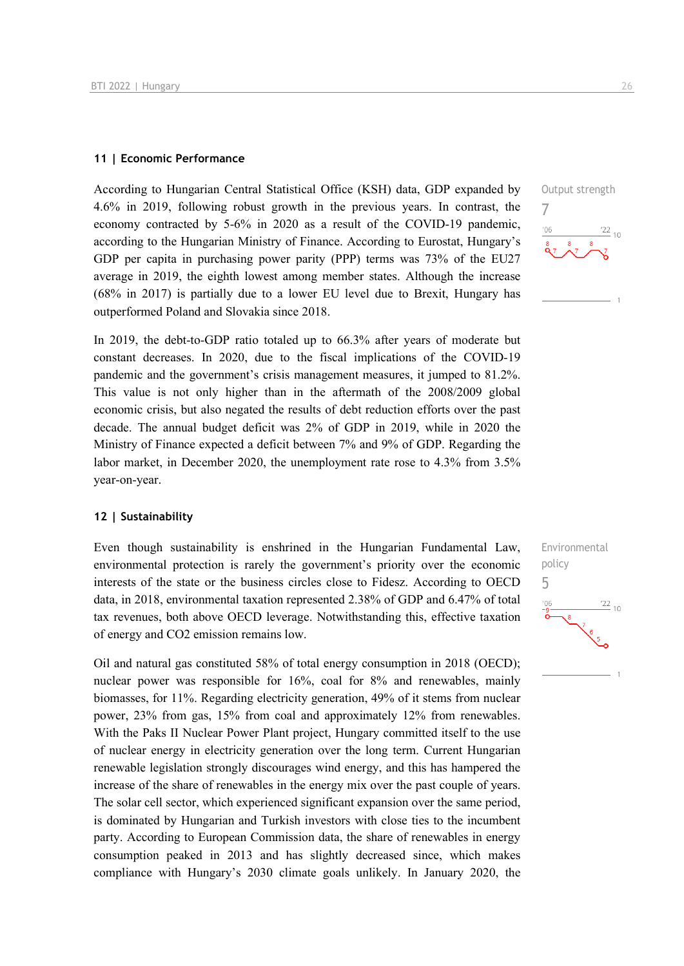### **11 | Economic Performance**

According to Hungarian Central Statistical Office (KSH) data, GDP expanded by 4.6% in 2019, following robust growth in the previous years. In contrast, the economy contracted by 5-6% in 2020 as a result of the COVID-19 pandemic, according to the Hungarian Ministry of Finance. According to Eurostat, Hungary's GDP per capita in purchasing power parity (PPP) terms was 73% of the EU27 average in 2019, the eighth lowest among member states. Although the increase (68% in 2017) is partially due to a lower EU level due to Brexit, Hungary has outperformed Poland and Slovakia since 2018.

In 2019, the debt-to-GDP ratio totaled up to 66.3% after years of moderate but constant decreases. In 2020, due to the fiscal implications of the COVID-19 pandemic and the government's crisis management measures, it jumped to 81.2%. This value is not only higher than in the aftermath of the 2008/2009 global economic crisis, but also negated the results of debt reduction efforts over the past decade. The annual budget deficit was 2% of GDP in 2019, while in 2020 the Ministry of Finance expected a deficit between 7% and 9% of GDP. Regarding the labor market, in December 2020, the unemployment rate rose to 4.3% from 3.5% year-on-year.

#### **12 | Sustainability**

Even though sustainability is enshrined in the Hungarian Fundamental Law, environmental protection is rarely the government's priority over the economic interests of the state or the business circles close to Fidesz. According to OECD data, in 2018, environmental taxation represented 2.38% of GDP and 6.47% of total tax revenues, both above OECD leverage. Notwithstanding this, effective taxation of energy and CO2 emission remains low.

Oil and natural gas constituted 58% of total energy consumption in 2018 (OECD); nuclear power was responsible for 16%, coal for 8% and renewables, mainly biomasses, for 11%. Regarding electricity generation, 49% of it stems from nuclear power, 23% from gas, 15% from coal and approximately 12% from renewables. With the Paks II Nuclear Power Plant project, Hungary committed itself to the use of nuclear energy in electricity generation over the long term. Current Hungarian renewable legislation strongly discourages wind energy, and this has hampered the increase of the share of renewables in the energy mix over the past couple of years. The solar cell sector, which experienced significant expansion over the same period, is dominated by Hungarian and Turkish investors with close ties to the incumbent party. According to European Commission data, the share of renewables in energy consumption peaked in 2013 and has slightly decreased since, which makes compliance with Hungary's 2030 climate goals unlikely. In January 2020, the Output strength 7  $\frac{22}{10}$  $106$ 

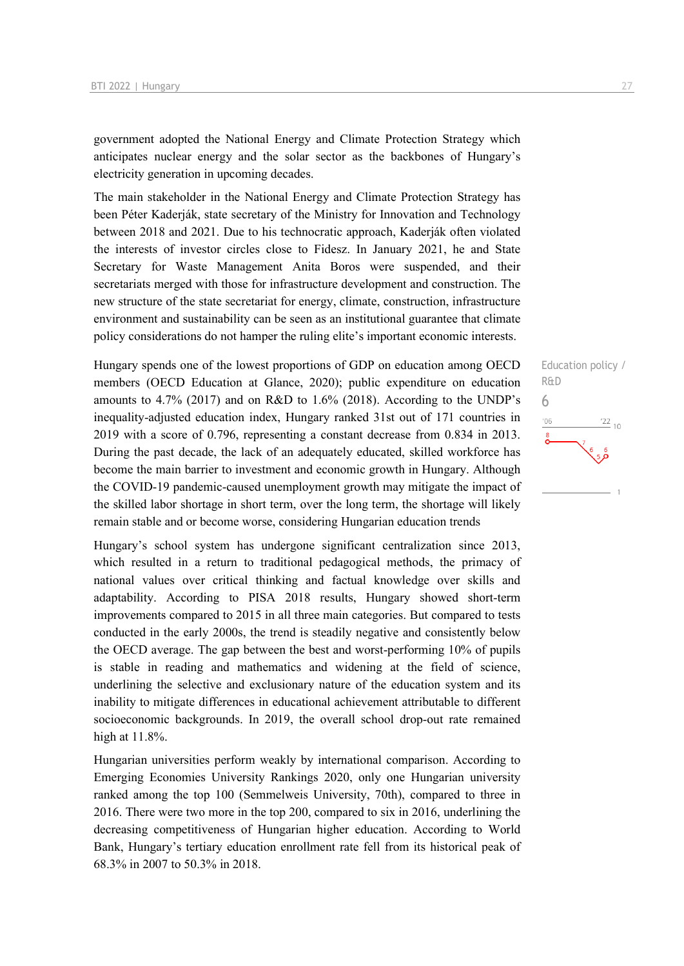government adopted the National Energy and Climate Protection Strategy which anticipates nuclear energy and the solar sector as the backbones of Hungary's electricity generation in upcoming decades.

The main stakeholder in the National Energy and Climate Protection Strategy has been Péter Kaderják, state secretary of the Ministry for Innovation and Technology between 2018 and 2021. Due to his technocratic approach, Kaderják often violated the interests of investor circles close to Fidesz. In January 2021, he and State Secretary for Waste Management Anita Boros were suspended, and their secretariats merged with those for infrastructure development and construction. The new structure of the state secretariat for energy, climate, construction, infrastructure environment and sustainability can be seen as an institutional guarantee that climate policy considerations do not hamper the ruling elite's important economic interests.

Hungary spends one of the lowest proportions of GDP on education among OECD members (OECD Education at Glance, 2020); public expenditure on education amounts to 4.7% (2017) and on R&D to 1.6% (2018). According to the UNDP's inequality-adjusted education index, Hungary ranked 31st out of 171 countries in 2019 with a score of 0.796, representing a constant decrease from 0.834 in 2013. During the past decade, the lack of an adequately educated, skilled workforce has become the main barrier to investment and economic growth in Hungary. Although the COVID-19 pandemic-caused unemployment growth may mitigate the impact of the skilled labor shortage in short term, over the long term, the shortage will likely remain stable and or become worse, considering Hungarian education trends

Hungary's school system has undergone significant centralization since 2013, which resulted in a return to traditional pedagogical methods, the primacy of national values over critical thinking and factual knowledge over skills and adaptability. According to PISA 2018 results, Hungary showed short-term improvements compared to 2015 in all three main categories. But compared to tests conducted in the early 2000s, the trend is steadily negative and consistently below the OECD average. The gap between the best and worst-performing 10% of pupils is stable in reading and mathematics and widening at the field of science, underlining the selective and exclusionary nature of the education system and its inability to mitigate differences in educational achievement attributable to different socioeconomic backgrounds. In 2019, the overall school drop-out rate remained high at 11.8%.

Hungarian universities perform weakly by international comparison. According to Emerging Economies University Rankings 2020, only one Hungarian university ranked among the top 100 (Semmelweis University, 70th), compared to three in 2016. There were two more in the top 200, compared to six in 2016, underlining the decreasing competitiveness of Hungarian higher education. According to World Bank, Hungary's tertiary education enrollment rate fell from its historical peak of 68.3% in 2007 to 50.3% in 2018.

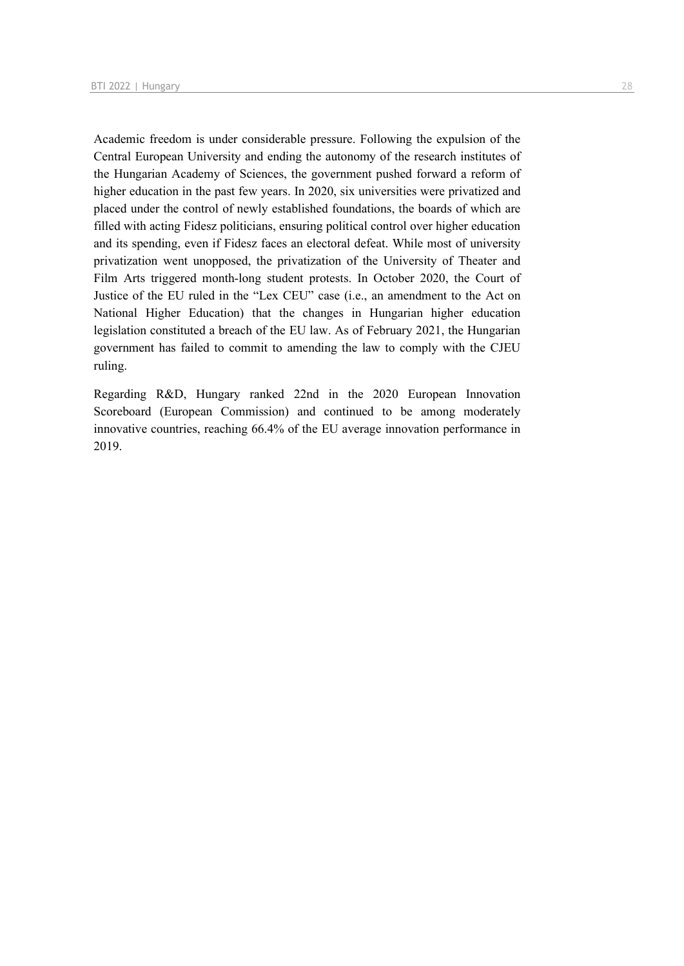Academic freedom is under considerable pressure. Following the expulsion of the Central European University and ending the autonomy of the research institutes of the Hungarian Academy of Sciences, the government pushed forward a reform of higher education in the past few years. In 2020, six universities were privatized and placed under the control of newly established foundations, the boards of which are filled with acting Fidesz politicians, ensuring political control over higher education and its spending, even if Fidesz faces an electoral defeat. While most of university privatization went unopposed, the privatization of the University of Theater and Film Arts triggered month-long student protests. In October 2020, the Court of Justice of the EU ruled in the "Lex CEU" case (i.e., an amendment to the Act on National Higher Education) that the changes in Hungarian higher education legislation constituted a breach of the EU law. As of February 2021, the Hungarian government has failed to commit to amending the law to comply with the CJEU ruling.

Regarding R&D, Hungary ranked 22nd in the 2020 European Innovation Scoreboard (European Commission) and continued to be among moderately innovative countries, reaching 66.4% of the EU average innovation performance in 2019.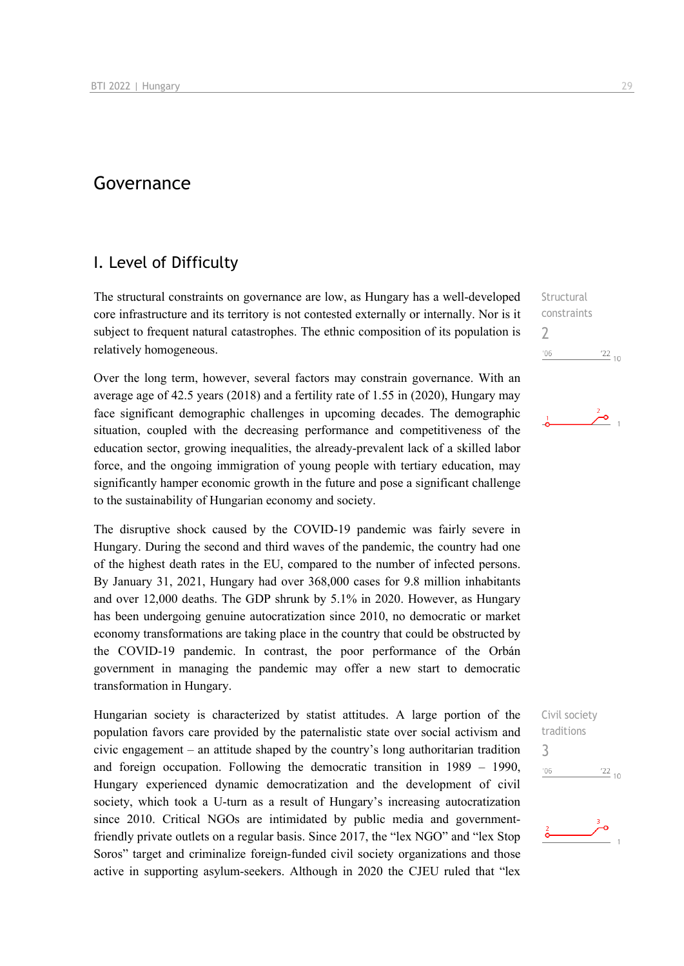### Governance

### I. Level of Difficulty

The structural constraints on governance are low, as Hungary has a well-developed core infrastructure and its territory is not contested externally or internally. Nor is it subject to frequent natural catastrophes. The ethnic composition of its population is relatively homogeneous.

Over the long term, however, several factors may constrain governance. With an average age of 42.5 years (2018) and a fertility rate of 1.55 in (2020), Hungary may face significant demographic challenges in upcoming decades. The demographic situation, coupled with the decreasing performance and competitiveness of the education sector, growing inequalities, the already-prevalent lack of a skilled labor force, and the ongoing immigration of young people with tertiary education, may significantly hamper economic growth in the future and pose a significant challenge to the sustainability of Hungarian economy and society.

The disruptive shock caused by the COVID-19 pandemic was fairly severe in Hungary. During the second and third waves of the pandemic, the country had one of the highest death rates in the EU, compared to the number of infected persons. By January 31, 2021, Hungary had over 368,000 cases for 9.8 million inhabitants and over 12,000 deaths. The GDP shrunk by 5.1% in 2020. However, as Hungary has been undergoing genuine autocratization since 2010, no democratic or market economy transformations are taking place in the country that could be obstructed by the COVID-19 pandemic. In contrast, the poor performance of the Orbán government in managing the pandemic may offer a new start to democratic transformation in Hungary.

Hungarian society is characterized by statist attitudes. A large portion of the population favors care provided by the paternalistic state over social activism and civic engagement – an attitude shaped by the country's long authoritarian tradition and foreign occupation. Following the democratic transition in 1989 – 1990, Hungary experienced dynamic democratization and the development of civil society, which took a U-turn as a result of Hungary's increasing autocratization since 2010. Critical NGOs are intimidated by public media and governmentfriendly private outlets on a regular basis. Since 2017, the "lex NGO" and "lex Stop Soros" target and criminalize foreign-funded civil society organizations and those active in supporting asylum-seekers. Although in 2020 the CJEU ruled that "lex

**Structural** constraints 2  $'06$  $\frac{22}{10}$ 

ەئر



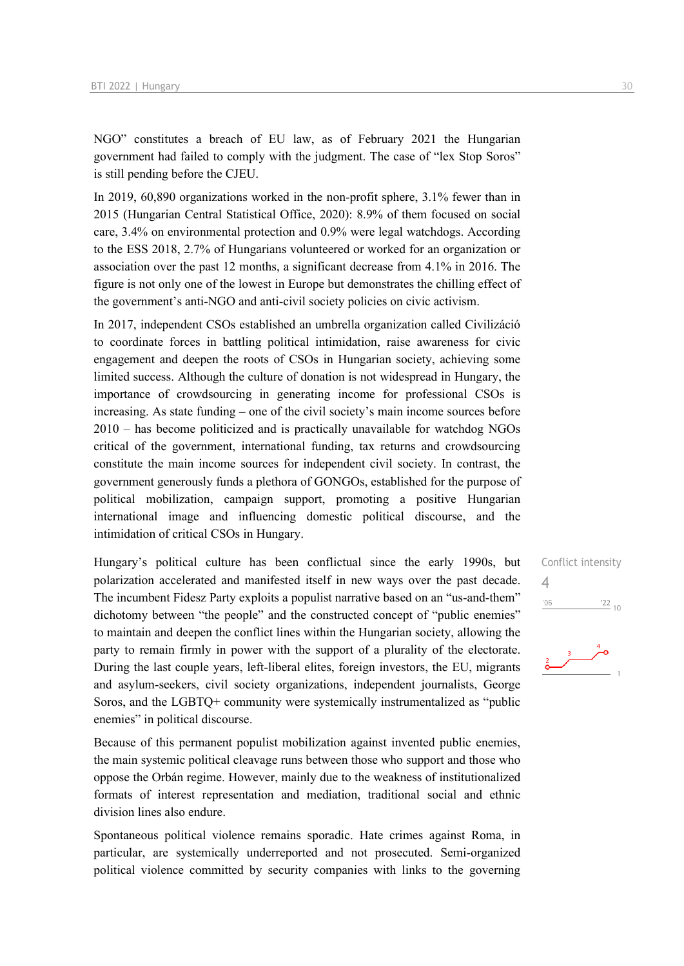NGO" constitutes a breach of EU law, as of February 2021 the Hungarian government had failed to comply with the judgment. The case of "lex Stop Soros" is still pending before the CJEU.

In 2019, 60,890 organizations worked in the non-profit sphere, 3.1% fewer than in 2015 (Hungarian Central Statistical Office, 2020): 8.9% of them focused on social care, 3.4% on environmental protection and 0.9% were legal watchdogs. According to the ESS 2018, 2.7% of Hungarians volunteered or worked for an organization or association over the past 12 months, a significant decrease from 4.1% in 2016. The figure is not only one of the lowest in Europe but demonstrates the chilling effect of the government's anti-NGO and anti-civil society policies on civic activism.

In 2017, independent CSOs established an umbrella organization called Civilizáció to coordinate forces in battling political intimidation, raise awareness for civic engagement and deepen the roots of CSOs in Hungarian society, achieving some limited success. Although the culture of donation is not widespread in Hungary, the importance of crowdsourcing in generating income for professional CSOs is increasing. As state funding – one of the civil society's main income sources before 2010 – has become politicized and is practically unavailable for watchdog NGOs critical of the government, international funding, tax returns and crowdsourcing constitute the main income sources for independent civil society. In contrast, the government generously funds a plethora of GONGOs, established for the purpose of political mobilization, campaign support, promoting a positive Hungarian international image and influencing domestic political discourse, and the intimidation of critical CSOs in Hungary.

Hungary's political culture has been conflictual since the early 1990s, but polarization accelerated and manifested itself in new ways over the past decade. The incumbent Fidesz Party exploits a populist narrative based on an "us-and-them" dichotomy between "the people" and the constructed concept of "public enemies" to maintain and deepen the conflict lines within the Hungarian society, allowing the party to remain firmly in power with the support of a plurality of the electorate. During the last couple years, left-liberal elites, foreign investors, the EU, migrants and asylum-seekers, civil society organizations, independent journalists, George Soros, and the LGBTQ+ community were systemically instrumentalized as "public enemies" in political discourse.

Because of this permanent populist mobilization against invented public enemies, the main systemic political cleavage runs between those who support and those who oppose the Orbán regime. However, mainly due to the weakness of institutionalized formats of interest representation and mediation, traditional social and ethnic division lines also endure.

Spontaneous political violence remains sporadic. Hate crimes against Roma, in particular, are systemically underreported and not prosecuted. Semi-organized political violence committed by security companies with links to the governing

# Conflict intensity 4 $\frac{22}{10}$  $'06$

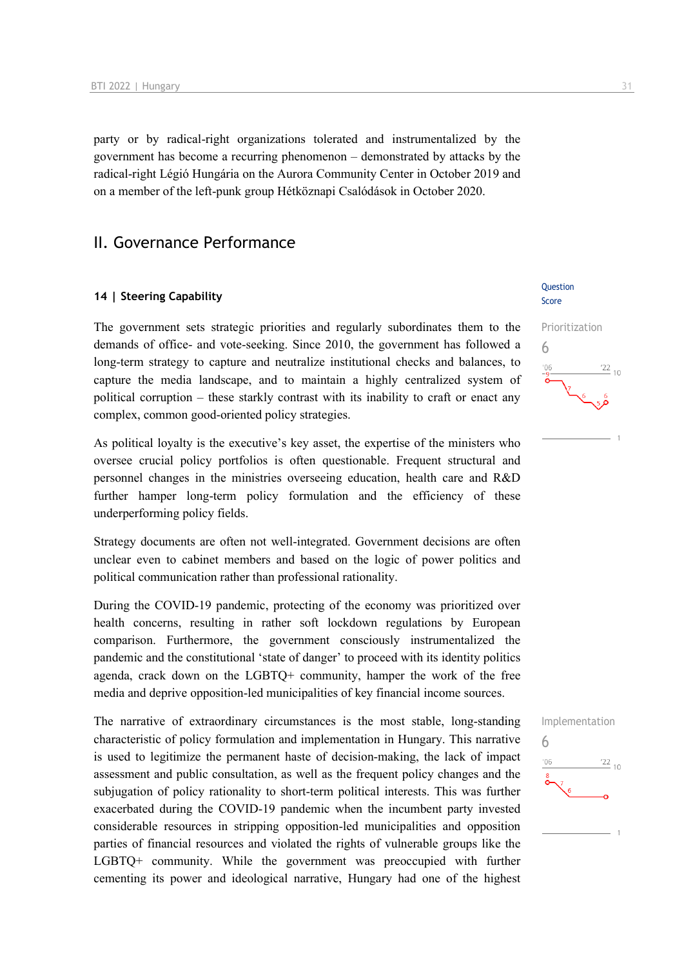party or by radical-right organizations tolerated and instrumentalized by the government has become a recurring phenomenon – demonstrated by attacks by the radical-right Légió Hungária on the Aurora Community Center in October 2019 and on a member of the left-punk group Hétköznapi Csalódások in October 2020.

### II. Governance Performance

### **14 | Steering Capability**

The government sets strategic priorities and regularly subordinates them to the demands of office- and vote-seeking. Since 2010, the government has followed a long-term strategy to capture and neutralize institutional checks and balances, to capture the media landscape, and to maintain a highly centralized system of political corruption – these starkly contrast with its inability to craft or enact any complex, common good-oriented policy strategies.

As political loyalty is the executive's key asset, the expertise of the ministers who oversee crucial policy portfolios is often questionable. Frequent structural and personnel changes in the ministries overseeing education, health care and R&D further hamper long-term policy formulation and the efficiency of these underperforming policy fields.

Strategy documents are often not well-integrated. Government decisions are often unclear even to cabinet members and based on the logic of power politics and political communication rather than professional rationality.

During the COVID-19 pandemic, protecting of the economy was prioritized over health concerns, resulting in rather soft lockdown regulations by European comparison. Furthermore, the government consciously instrumentalized the pandemic and the constitutional 'state of danger' to proceed with its identity politics agenda, crack down on the LGBTQ+ community, hamper the work of the free media and deprive opposition-led municipalities of key financial income sources.

The narrative of extraordinary circumstances is the most stable, long-standing characteristic of policy formulation and implementation in Hungary. This narrative is used to legitimize the permanent haste of decision-making, the lack of impact assessment and public consultation, as well as the frequent policy changes and the subjugation of policy rationality to short-term political interests. This was further exacerbated during the COVID-19 pandemic when the incumbent party invested considerable resources in stripping opposition-led municipalities and opposition parties of financial resources and violated the rights of vulnerable groups like the LGBTQ+ community. While the government was preoccupied with further cementing its power and ideological narrative, Hungary had one of the highest

### **Ouestion** Score



6 $\frac{22}{10}$  $-06$ 

Implementation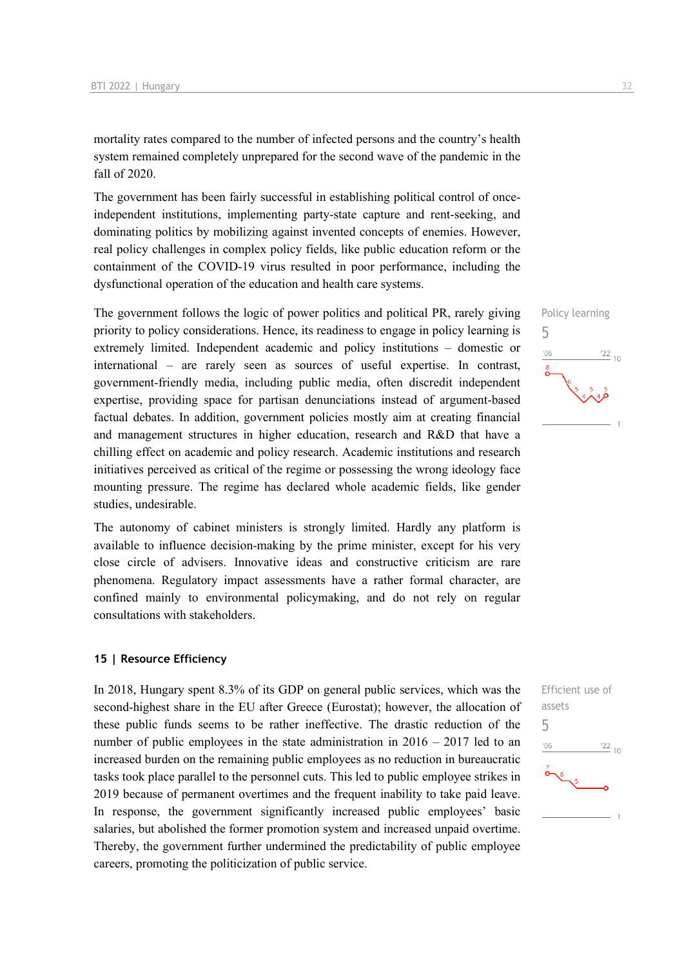mortality rates compared to the number of infected persons and the country's health system remained completely unprepared for the second wave of the pandemic in the fall of 2020.

The government has been fairly successful in establishing political control of onceindependent institutions, implementing party-state capture and rent-seeking, and dominating politics by mobilizing against invented concepts of enemies. However, real policy challenges in complex policy fields, like public education reform or the containment of the COVID-19 virus resulted in poor performance, including the dysfunctional operation of the education and health care systems.

The government follows the logic of power politics and political PR, rarely giving priority to policy considerations. Hence, its readiness to engage in policy learning is extremely limited. Independent academic and policy institutions – domestic or international – are rarely seen as sources of useful expertise. In contrast, government-friendly media, including public media, often discredit independent expertise, providing space for partisan denunciations instead of argument-based factual debates. In addition, government policies mostly aim at creating financial and management structures in higher education, research and R&D that have a chilling effect on academic and policy research. Academic institutions and research initiatives perceived as critical of the regime or possessing the wrong ideology face mounting pressure. The regime has declared whole academic fields, like gender studies, undesirable.

The autonomy of cabinet ministers is strongly limited. Hardly any platform is available to influence decision-making by the prime minister, except for his very close circle of advisers. Innovative ideas and constructive criticism are rare phenomena. Regulatory impact assessments have a rather formal character, are confined mainly to environmental policymaking, and do not rely on regular consultations with stakeholders.

### **15 | Resource Efficiency**

In 2018, Hungary spent 8.3% of its GDP on general public services, which was the second-highest share in the EU after Greece (Eurostat); however, the allocation of these public funds seems to be rather ineffective. The drastic reduction of the number of public employees in the state administration in  $2016 - 2017$  led to an increased burden on the remaining public employees as no reduction in bureaucratic tasks took place parallel to the personnel cuts. This led to public employee strikes in 2019 because of permanent overtimes and the frequent inability to take paid leave. In response, the government significantly increased public employees' basic salaries, but abolished the former promotion system and increased unpaid overtime. Thereby, the government further undermined the predictability of public employee careers, promoting the politicization of public service.



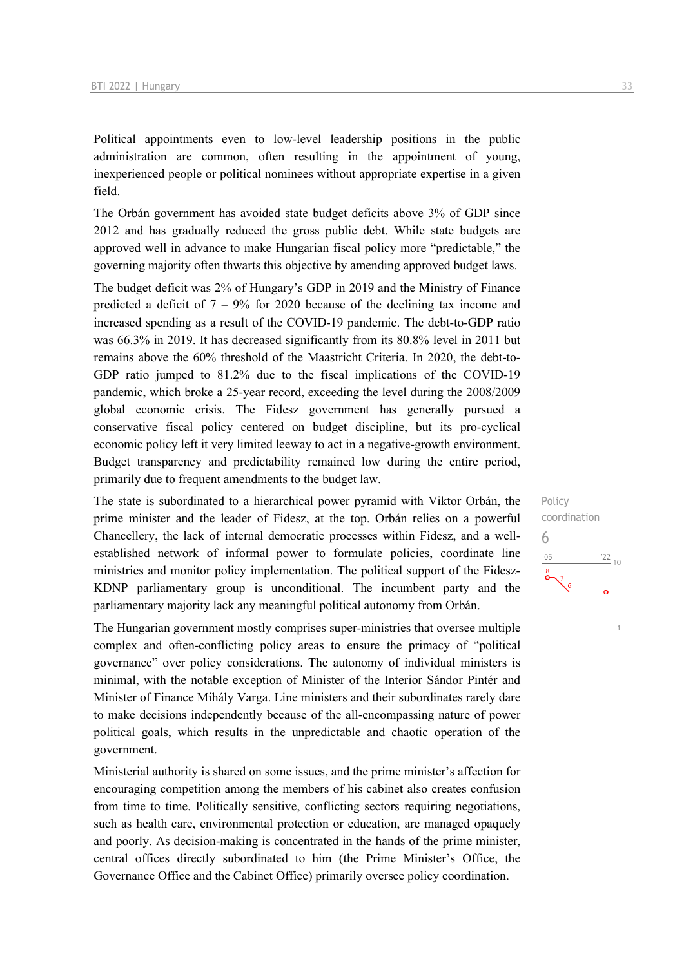Political appointments even to low-level leadership positions in the public administration are common, often resulting in the appointment of young, inexperienced people or political nominees without appropriate expertise in a given field.

The Orbán government has avoided state budget deficits above 3% of GDP since 2012 and has gradually reduced the gross public debt. While state budgets are approved well in advance to make Hungarian fiscal policy more "predictable," the governing majority often thwarts this objective by amending approved budget laws.

The budget deficit was 2% of Hungary's GDP in 2019 and the Ministry of Finance predicted a deficit of  $7 - 9\%$  for 2020 because of the declining tax income and increased spending as a result of the COVID-19 pandemic. The debt-to-GDP ratio was 66.3% in 2019. It has decreased significantly from its 80.8% level in 2011 but remains above the 60% threshold of the Maastricht Criteria. In 2020, the debt-to-GDP ratio jumped to 81.2% due to the fiscal implications of the COVID-19 pandemic, which broke a 25-year record, exceeding the level during the 2008/2009 global economic crisis. The Fidesz government has generally pursued a conservative fiscal policy centered on budget discipline, but its pro-cyclical economic policy left it very limited leeway to act in a negative-growth environment. Budget transparency and predictability remained low during the entire period, primarily due to frequent amendments to the budget law.

The state is subordinated to a hierarchical power pyramid with Viktor Orbán, the prime minister and the leader of Fidesz, at the top. Orbán relies on a powerful Chancellery, the lack of internal democratic processes within Fidesz, and a wellestablished network of informal power to formulate policies, coordinate line ministries and monitor policy implementation. The political support of the Fidesz-KDNP parliamentary group is unconditional. The incumbent party and the parliamentary majority lack any meaningful political autonomy from Orbán.

The Hungarian government mostly comprises super-ministries that oversee multiple complex and often-conflicting policy areas to ensure the primacy of "political governance" over policy considerations. The autonomy of individual ministers is minimal, with the notable exception of Minister of the Interior Sándor Pintér and Minister of Finance Mihály Varga. Line ministers and their subordinates rarely dare to make decisions independently because of the all-encompassing nature of power political goals, which results in the unpredictable and chaotic operation of the government.

Ministerial authority is shared on some issues, and the prime minister's affection for encouraging competition among the members of his cabinet also creates confusion from time to time. Politically sensitive, conflicting sectors requiring negotiations, such as health care, environmental protection or education, are managed opaquely and poorly. As decision-making is concentrated in the hands of the prime minister, central offices directly subordinated to him (the Prime Minister's Office, the Governance Office and the Cabinet Office) primarily oversee policy coordination.

Policy coordination 6 $\frac{22}{10}$  $^{\prime}06$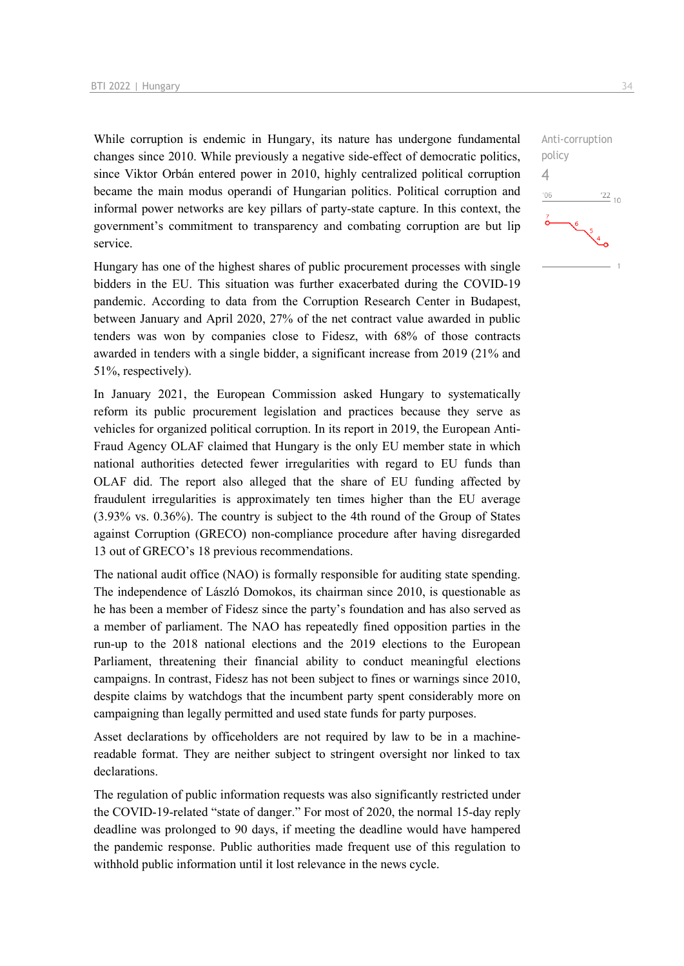While corruption is endemic in Hungary, its nature has undergone fundamental changes since 2010. While previously a negative side-effect of democratic politics, since Viktor Orbán entered power in 2010, highly centralized political corruption became the main modus operandi of Hungarian politics. Political corruption and informal power networks are key pillars of party-state capture. In this context, the government's commitment to transparency and combating corruption are but lip service.

Hungary has one of the highest shares of public procurement processes with single bidders in the EU. This situation was further exacerbated during the COVID-19 pandemic. According to data from the Corruption Research Center in Budapest, between January and April 2020, 27% of the net contract value awarded in public tenders was won by companies close to Fidesz, with 68% of those contracts awarded in tenders with a single bidder, a significant increase from 2019 (21% and 51%, respectively).

In January 2021, the European Commission asked Hungary to systematically reform its public procurement legislation and practices because they serve as vehicles for organized political corruption. In its report in 2019, the European Anti-Fraud Agency OLAF claimed that Hungary is the only EU member state in which national authorities detected fewer irregularities with regard to EU funds than OLAF did. The report also alleged that the share of EU funding affected by fraudulent irregularities is approximately ten times higher than the EU average (3.93% vs. 0.36%). The country is subject to the 4th round of the Group of States against Corruption (GRECO) non-compliance procedure after having disregarded 13 out of GRECO's 18 previous recommendations.

The national audit office (NAO) is formally responsible for auditing state spending. The independence of László Domokos, its chairman since 2010, is questionable as he has been a member of Fidesz since the party's foundation and has also served as a member of parliament. The NAO has repeatedly fined opposition parties in the run-up to the 2018 national elections and the 2019 elections to the European Parliament, threatening their financial ability to conduct meaningful elections campaigns. In contrast, Fidesz has not been subject to fines or warnings since 2010, despite claims by watchdogs that the incumbent party spent considerably more on campaigning than legally permitted and used state funds for party purposes.

Asset declarations by officeholders are not required by law to be in a machinereadable format. They are neither subject to stringent oversight nor linked to tax declarations.

The regulation of public information requests was also significantly restricted under the COVID-19-related "state of danger." For most of 2020, the normal 15-day reply deadline was prolonged to 90 days, if meeting the deadline would have hampered the pandemic response. Public authorities made frequent use of this regulation to withhold public information until it lost relevance in the news cycle.

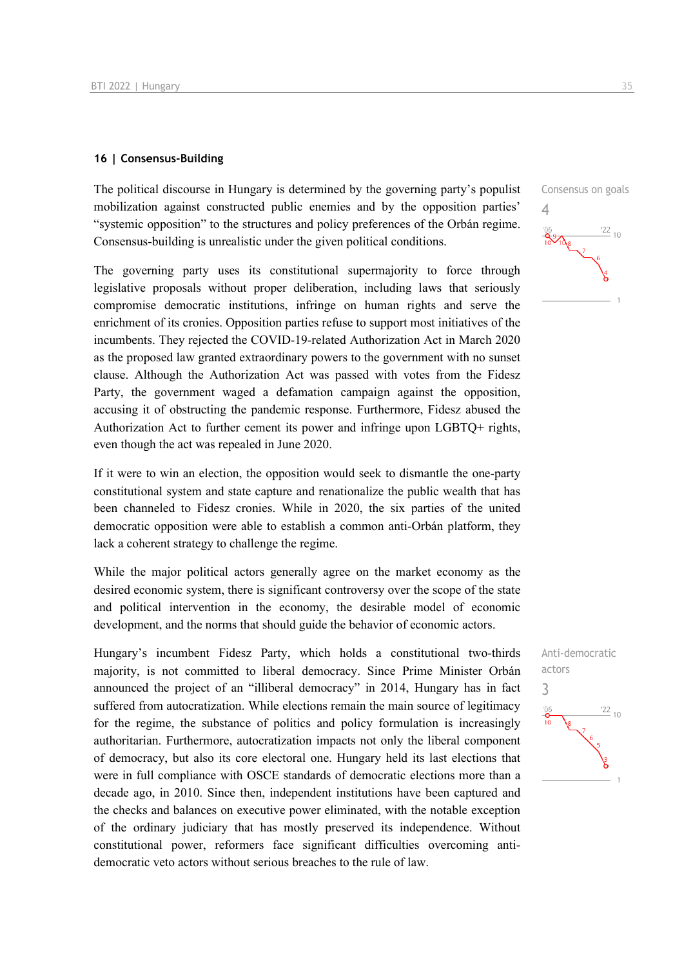### **16 | Consensus-Building**

The political discourse in Hungary is determined by the governing party's populist mobilization against constructed public enemies and by the opposition parties' "systemic opposition" to the structures and policy preferences of the Orbán regime. Consensus-building is unrealistic under the given political conditions.

The governing party uses its constitutional supermajority to force through legislative proposals without proper deliberation, including laws that seriously compromise democratic institutions, infringe on human rights and serve the enrichment of its cronies. Opposition parties refuse to support most initiatives of the incumbents. They rejected the COVID-19-related Authorization Act in March 2020 as the proposed law granted extraordinary powers to the government with no sunset clause. Although the Authorization Act was passed with votes from the Fidesz Party, the government waged a defamation campaign against the opposition, accusing it of obstructing the pandemic response. Furthermore, Fidesz abused the Authorization Act to further cement its power and infringe upon LGBTQ+ rights, even though the act was repealed in June 2020.

If it were to win an election, the opposition would seek to dismantle the one-party constitutional system and state capture and renationalize the public wealth that has been channeled to Fidesz cronies. While in 2020, the six parties of the united democratic opposition were able to establish a common anti-Orbán platform, they lack a coherent strategy to challenge the regime.

While the major political actors generally agree on the market economy as the desired economic system, there is significant controversy over the scope of the state and political intervention in the economy, the desirable model of economic development, and the norms that should guide the behavior of economic actors.

Hungary's incumbent Fidesz Party, which holds a constitutional two-thirds majority, is not committed to liberal democracy. Since Prime Minister Orbán announced the project of an "illiberal democracy" in 2014, Hungary has in fact suffered from autocratization. While elections remain the main source of legitimacy for the regime, the substance of politics and policy formulation is increasingly authoritarian. Furthermore, autocratization impacts not only the liberal component of democracy, but also its core electoral one. Hungary held its last elections that were in full compliance with OSCE standards of democratic elections more than a decade ago, in 2010. Since then, independent institutions have been captured and the checks and balances on executive power eliminated, with the notable exception of the ordinary judiciary that has mostly preserved its independence. Without constitutional power, reformers face significant difficulties overcoming antidemocratic veto actors without serious breaches to the rule of law.



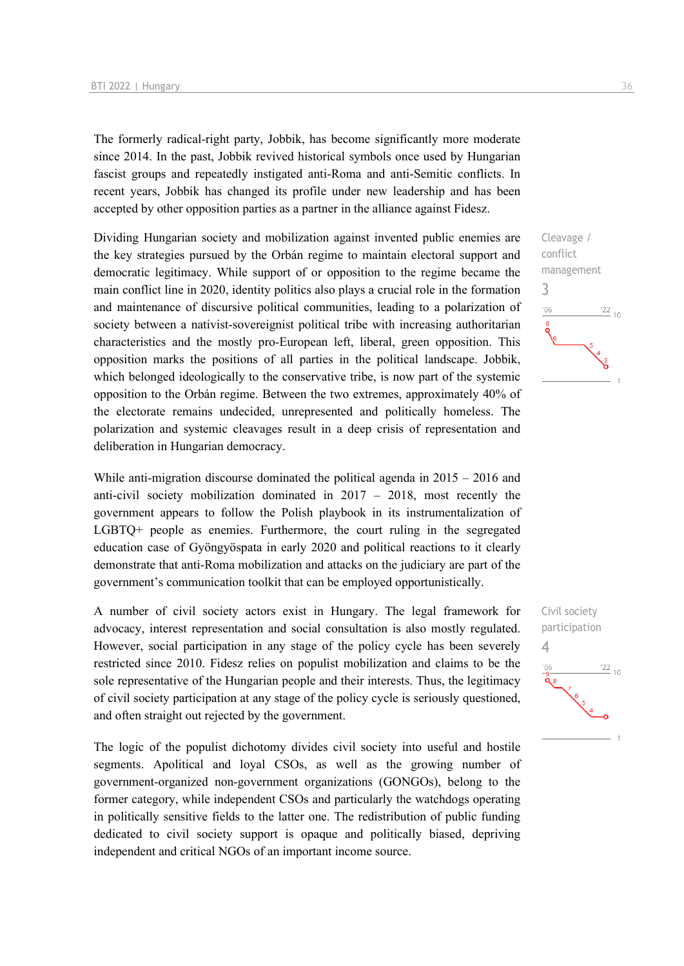The formerly radical-right party, Jobbik, has become significantly more moderate since 2014. In the past, Jobbik revived historical symbols once used by Hungarian fascist groups and repeatedly instigated anti-Roma and anti-Semitic conflicts. In recent years, Jobbik has changed its profile under new leadership and has been accepted by other opposition parties as a partner in the alliance against Fidesz.

Dividing Hungarian society and mobilization against invented public enemies are the key strategies pursued by the Orbán regime to maintain electoral support and democratic legitimacy. While support of or opposition to the regime became the main conflict line in 2020, identity politics also plays a crucial role in the formation and maintenance of discursive political communities, leading to a polarization of society between a nativist-sovereignist political tribe with increasing authoritarian characteristics and the mostly pro-European left, liberal, green opposition. This opposition marks the positions of all parties in the political landscape. Jobbik, which belonged ideologically to the conservative tribe, is now part of the systemic opposition to the Orbán regime. Between the two extremes, approximately 40% of the electorate remains undecided, unrepresented and politically homeless. The polarization and systemic cleavages result in a deep crisis of representation and deliberation in Hungarian democracy.

While anti-migration discourse dominated the political agenda in  $2015 - 2016$  and anti-civil society mobilization dominated in 2017 – 2018, most recently the government appears to follow the Polish playbook in its instrumentalization of LGBTQ+ people as enemies. Furthermore, the court ruling in the segregated education case of Gyöngyöspata in early 2020 and political reactions to it clearly demonstrate that anti-Roma mobilization and attacks on the judiciary are part of the government's communication toolkit that can be employed opportunistically.

A number of civil society actors exist in Hungary. The legal framework for advocacy, interest representation and social consultation is also mostly regulated. However, social participation in any stage of the policy cycle has been severely restricted since 2010. Fidesz relies on populist mobilization and claims to be the sole representative of the Hungarian people and their interests. Thus, the legitimacy of civil society participation at any stage of the policy cycle is seriously questioned, and often straight out rejected by the government.

The logic of the populist dichotomy divides civil society into useful and hostile segments. Apolitical and loyal CSOs, as well as the growing number of government-organized non-government organizations (GONGOs), belong to the former category, while independent CSOs and particularly the watchdogs operating in politically sensitive fields to the latter one. The redistribution of public funding dedicated to civil society support is opaque and politically biased, depriving independent and critical NGOs of an important income source.

3

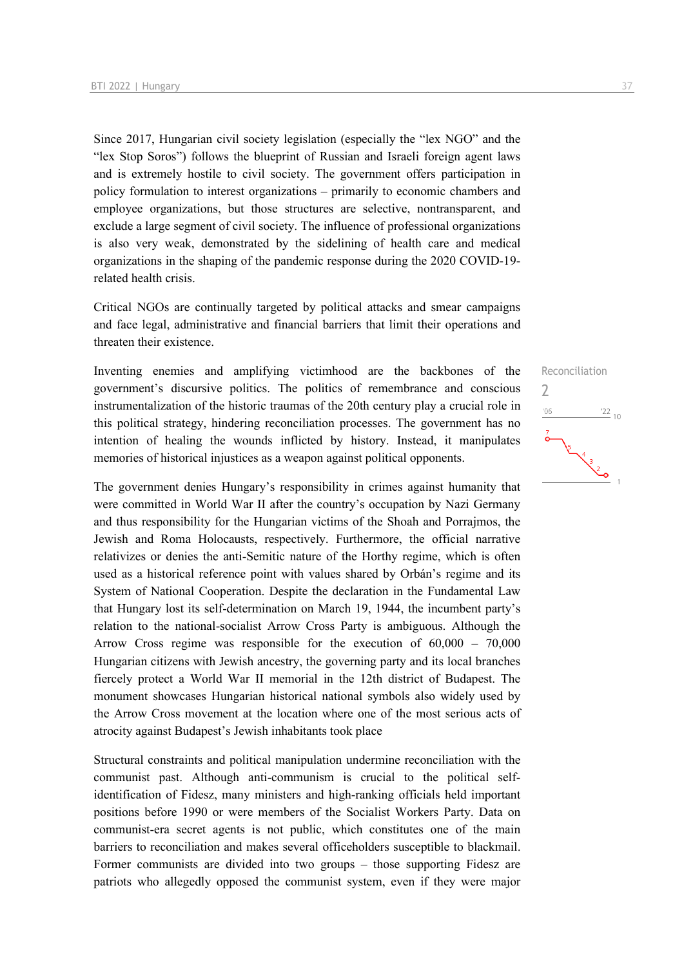Since 2017, Hungarian civil society legislation (especially the "lex NGO" and the "lex Stop Soros") follows the blueprint of Russian and Israeli foreign agent laws and is extremely hostile to civil society. The government offers participation in policy formulation to interest organizations – primarily to economic chambers and employee organizations, but those structures are selective, nontransparent, and exclude a large segment of civil society. The influence of professional organizations is also very weak, demonstrated by the sidelining of health care and medical organizations in the shaping of the pandemic response during the 2020 COVID-19 related health crisis.

Critical NGOs are continually targeted by political attacks and smear campaigns and face legal, administrative and financial barriers that limit their operations and threaten their existence.

Inventing enemies and amplifying victimhood are the backbones of the government's discursive politics. The politics of remembrance and conscious instrumentalization of the historic traumas of the 20th century play a crucial role in this political strategy, hindering reconciliation processes. The government has no intention of healing the wounds inflicted by history. Instead, it manipulates memories of historical injustices as a weapon against political opponents.

The government denies Hungary's responsibility in crimes against humanity that were committed in World War II after the country's occupation by Nazi Germany and thus responsibility for the Hungarian victims of the Shoah and Porrajmos, the Jewish and Roma Holocausts, respectively. Furthermore, the official narrative relativizes or denies the anti-Semitic nature of the Horthy regime, which is often used as a historical reference point with values shared by Orbán's regime and its System of National Cooperation. Despite the declaration in the Fundamental Law that Hungary lost its self-determination on March 19, 1944, the incumbent party's relation to the national-socialist Arrow Cross Party is ambiguous. Although the Arrow Cross regime was responsible for the execution of 60,000 – 70,000 Hungarian citizens with Jewish ancestry, the governing party and its local branches fiercely protect a World War II memorial in the 12th district of Budapest. The monument showcases Hungarian historical national symbols also widely used by the Arrow Cross movement at the location where one of the most serious acts of atrocity against Budapest's Jewish inhabitants took place

Structural constraints and political manipulation undermine reconciliation with the communist past. Although anti-communism is crucial to the political selfidentification of Fidesz, many ministers and high-ranking officials held important positions before 1990 or were members of the Socialist Workers Party. Data on communist-era secret agents is not public, which constitutes one of the main barriers to reconciliation and makes several officeholders susceptible to blackmail. Former communists are divided into two groups – those supporting Fidesz are patriots who allegedly opposed the communist system, even if they were major



Reconciliation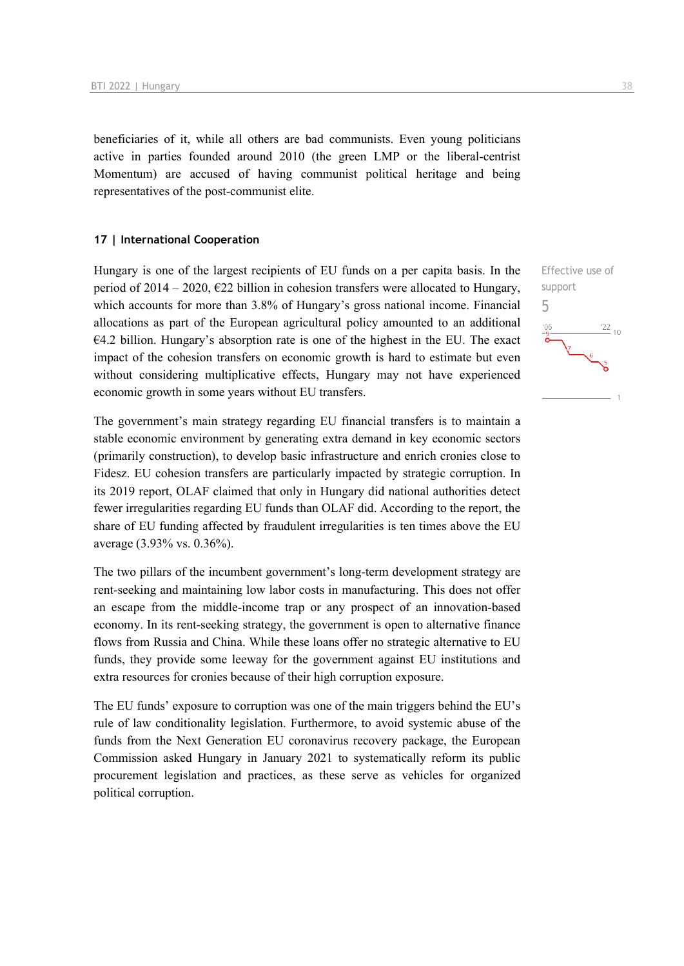beneficiaries of it, while all others are bad communists. Even young politicians active in parties founded around 2010 (the green LMP or the liberal-centrist Momentum) are accused of having communist political heritage and being representatives of the post-communist elite.

### **17 | International Cooperation**

Hungary is one of the largest recipients of EU funds on a per capita basis. In the period of 2014 – 2020,  $\epsilon$ 22 billion in cohesion transfers were allocated to Hungary, which accounts for more than 3.8% of Hungary's gross national income. Financial allocations as part of the European agricultural policy amounted to an additional  $64.2$  billion. Hungary's absorption rate is one of the highest in the EU. The exact impact of the cohesion transfers on economic growth is hard to estimate but even without considering multiplicative effects, Hungary may not have experienced economic growth in some years without EU transfers.

The government's main strategy regarding EU financial transfers is to maintain a stable economic environment by generating extra demand in key economic sectors (primarily construction), to develop basic infrastructure and enrich cronies close to Fidesz. EU cohesion transfers are particularly impacted by strategic corruption. In its 2019 report, OLAF claimed that only in Hungary did national authorities detect fewer irregularities regarding EU funds than OLAF did. According to the report, the share of EU funding affected by fraudulent irregularities is ten times above the EU average (3.93% vs. 0.36%).

The two pillars of the incumbent government's long-term development strategy are rent-seeking and maintaining low labor costs in manufacturing. This does not offer an escape from the middle-income trap or any prospect of an innovation-based economy. In its rent-seeking strategy, the government is open to alternative finance flows from Russia and China. While these loans offer no strategic alternative to EU funds, they provide some leeway for the government against EU institutions and extra resources for cronies because of their high corruption exposure.

The EU funds' exposure to corruption was one of the main triggers behind the EU's rule of law conditionality legislation. Furthermore, to avoid systemic abuse of the funds from the Next Generation EU coronavirus recovery package, the European Commission asked Hungary in January 2021 to systematically reform its public procurement legislation and practices, as these serve as vehicles for organized political corruption.

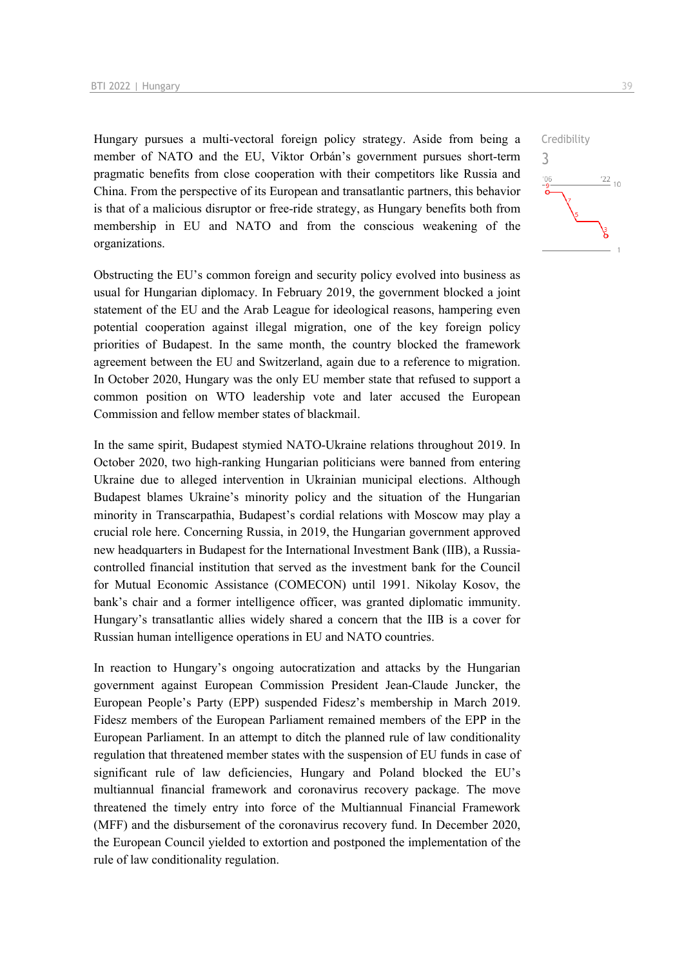Hungary pursues a multi-vectoral foreign policy strategy. Aside from being a member of NATO and the EU, Viktor Orbán's government pursues short-term pragmatic benefits from close cooperation with their competitors like Russia and China. From the perspective of its European and transatlantic partners, this behavior is that of a malicious disruptor or free-ride strategy, as Hungary benefits both from membership in EU and NATO and from the conscious weakening of the organizations.

Obstructing the EU's common foreign and security policy evolved into business as usual for Hungarian diplomacy. In February 2019, the government blocked a joint statement of the EU and the Arab League for ideological reasons, hampering even potential cooperation against illegal migration, one of the key foreign policy priorities of Budapest. In the same month, the country blocked the framework agreement between the EU and Switzerland, again due to a reference to migration. In October 2020, Hungary was the only EU member state that refused to support a common position on WTO leadership vote and later accused the European Commission and fellow member states of blackmail.

In the same spirit, Budapest stymied NATO-Ukraine relations throughout 2019. In October 2020, two high-ranking Hungarian politicians were banned from entering Ukraine due to alleged intervention in Ukrainian municipal elections. Although Budapest blames Ukraine's minority policy and the situation of the Hungarian minority in Transcarpathia, Budapest's cordial relations with Moscow may play a crucial role here. Concerning Russia, in 2019, the Hungarian government approved new headquarters in Budapest for the International Investment Bank (IIB), a Russiacontrolled financial institution that served as the investment bank for the Council for Mutual Economic Assistance (COMECON) until 1991. Nikolay Kosov, the bank's chair and a former intelligence officer, was granted diplomatic immunity. Hungary's transatlantic allies widely shared a concern that the IIB is a cover for Russian human intelligence operations in EU and NATO countries.

In reaction to Hungary's ongoing autocratization and attacks by the Hungarian government against European Commission President Jean-Claude Juncker, the European People's Party (EPP) suspended Fidesz's membership in March 2019. Fidesz members of the European Parliament remained members of the EPP in the European Parliament. In an attempt to ditch the planned rule of law conditionality regulation that threatened member states with the suspension of EU funds in case of significant rule of law deficiencies, Hungary and Poland blocked the EU's multiannual financial framework and coronavirus recovery package. The move threatened the timely entry into force of the Multiannual Financial Framework (MFF) and the disbursement of the coronavirus recovery fund. In December 2020, the European Council yielded to extortion and postponed the implementation of the rule of law conditionality regulation.

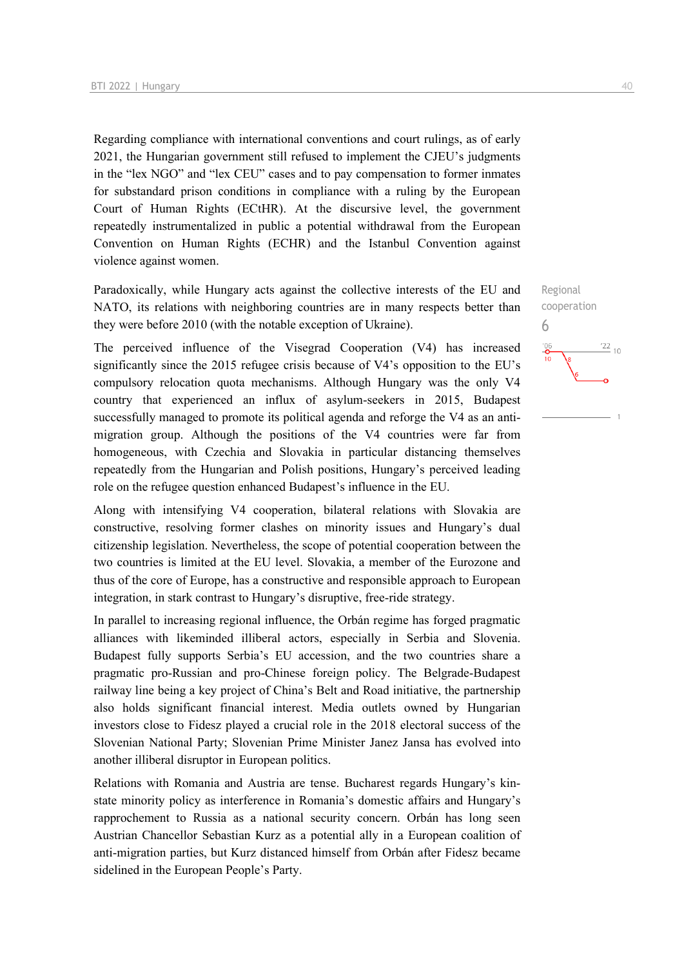Regarding compliance with international conventions and court rulings, as of early 2021, the Hungarian government still refused to implement the CJEU's judgments in the "lex NGO" and "lex CEU" cases and to pay compensation to former inmates for substandard prison conditions in compliance with a ruling by the European Court of Human Rights (ECtHR). At the discursive level, the government repeatedly instrumentalized in public a potential withdrawal from the European Convention on Human Rights (ECHR) and the Istanbul Convention against violence against women.

Paradoxically, while Hungary acts against the collective interests of the EU and NATO, its relations with neighboring countries are in many respects better than they were before 2010 (with the notable exception of Ukraine).

The perceived influence of the Visegrad Cooperation (V4) has increased significantly since the 2015 refugee crisis because of V4's opposition to the EU's compulsory relocation quota mechanisms. Although Hungary was the only V4 country that experienced an influx of asylum-seekers in 2015, Budapest successfully managed to promote its political agenda and reforge the V4 as an antimigration group. Although the positions of the V4 countries were far from homogeneous, with Czechia and Slovakia in particular distancing themselves repeatedly from the Hungarian and Polish positions, Hungary's perceived leading role on the refugee question enhanced Budapest's influence in the EU.

Along with intensifying V4 cooperation, bilateral relations with Slovakia are constructive, resolving former clashes on minority issues and Hungary's dual citizenship legislation. Nevertheless, the scope of potential cooperation between the two countries is limited at the EU level. Slovakia, a member of the Eurozone and thus of the core of Europe, has a constructive and responsible approach to European integration, in stark contrast to Hungary's disruptive, free-ride strategy.

In parallel to increasing regional influence, the Orbán regime has forged pragmatic alliances with likeminded illiberal actors, especially in Serbia and Slovenia. Budapest fully supports Serbia's EU accession, and the two countries share a pragmatic pro-Russian and pro-Chinese foreign policy. The Belgrade-Budapest railway line being a key project of China's Belt and Road initiative, the partnership also holds significant financial interest. Media outlets owned by Hungarian investors close to Fidesz played a crucial role in the 2018 electoral success of the Slovenian National Party; Slovenian Prime Minister Janez Jansa has evolved into another illiberal disruptor in European politics.

Relations with Romania and Austria are tense. Bucharest regards Hungary's kinstate minority policy as interference in Romania's domestic affairs and Hungary's rapprochement to Russia as a national security concern. Orbán has long seen Austrian Chancellor Sebastian Kurz as a potential ally in a European coalition of anti-migration parties, but Kurz distanced himself from Orbán after Fidesz became sidelined in the European People's Party.

Regional cooperation

 $\frac{22}{10}$ 

6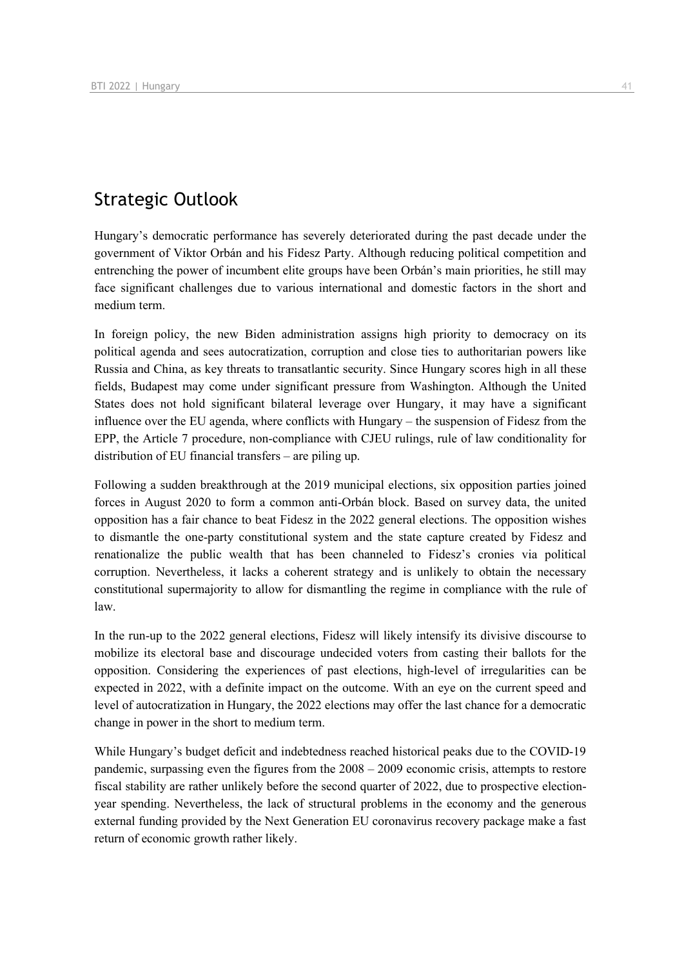# Strategic Outlook

Hungary's democratic performance has severely deteriorated during the past decade under the government of Viktor Orbán and his Fidesz Party. Although reducing political competition and entrenching the power of incumbent elite groups have been Orbán's main priorities, he still may face significant challenges due to various international and domestic factors in the short and medium term.

In foreign policy, the new Biden administration assigns high priority to democracy on its political agenda and sees autocratization, corruption and close ties to authoritarian powers like Russia and China, as key threats to transatlantic security. Since Hungary scores high in all these fields, Budapest may come under significant pressure from Washington. Although the United States does not hold significant bilateral leverage over Hungary, it may have a significant influence over the EU agenda, where conflicts with Hungary – the suspension of Fidesz from the EPP, the Article 7 procedure, non-compliance with CJEU rulings, rule of law conditionality for distribution of EU financial transfers – are piling up.

Following a sudden breakthrough at the 2019 municipal elections, six opposition parties joined forces in August 2020 to form a common anti-Orbán block. Based on survey data, the united opposition has a fair chance to beat Fidesz in the 2022 general elections. The opposition wishes to dismantle the one-party constitutional system and the state capture created by Fidesz and renationalize the public wealth that has been channeled to Fidesz's cronies via political corruption. Nevertheless, it lacks a coherent strategy and is unlikely to obtain the necessary constitutional supermajority to allow for dismantling the regime in compliance with the rule of law.

In the run-up to the 2022 general elections, Fidesz will likely intensify its divisive discourse to mobilize its electoral base and discourage undecided voters from casting their ballots for the opposition. Considering the experiences of past elections, high-level of irregularities can be expected in 2022, with a definite impact on the outcome. With an eye on the current speed and level of autocratization in Hungary, the 2022 elections may offer the last chance for a democratic change in power in the short to medium term.

While Hungary's budget deficit and indebtedness reached historical peaks due to the COVID-19 pandemic, surpassing even the figures from the 2008 – 2009 economic crisis, attempts to restore fiscal stability are rather unlikely before the second quarter of 2022, due to prospective electionyear spending. Nevertheless, the lack of structural problems in the economy and the generous external funding provided by the Next Generation EU coronavirus recovery package make a fast return of economic growth rather likely.